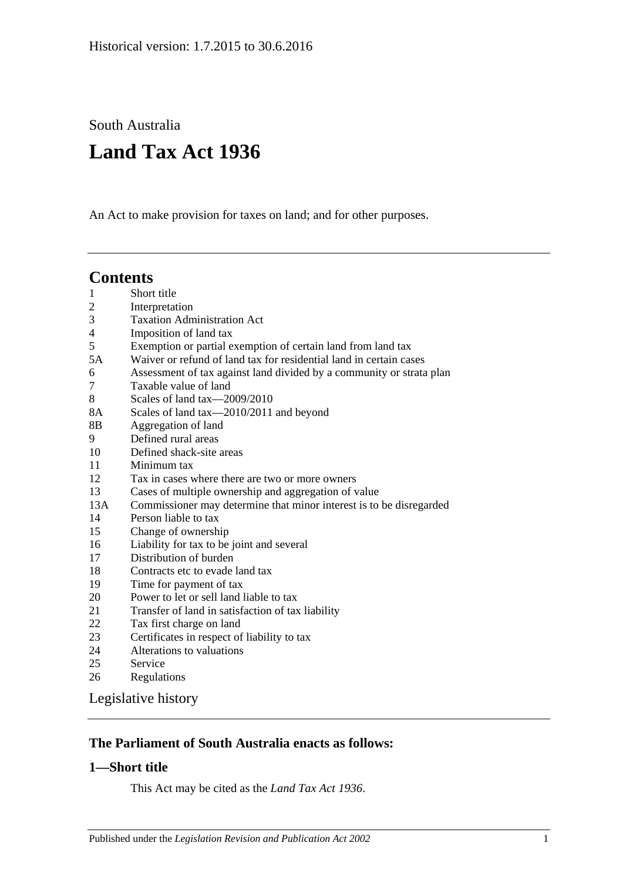South Australia

# **Land Tax Act 1936**

An Act to make provision for taxes on land; and for other purposes.

## **Contents**

| 1              | Short title                                                          |
|----------------|----------------------------------------------------------------------|
| $\overline{2}$ | Interpretation                                                       |
| 3              | <b>Taxation Administration Act</b>                                   |
| 4              | Imposition of land tax                                               |
| 5              | Exemption or partial exemption of certain land from land tax         |
| 5A             | Waiver or refund of land tax for residential land in certain cases   |
| 6              | Assessment of tax against land divided by a community or strata plan |
| 7              | Taxable value of land                                                |
| 8              | Scales of land tax-2009/2010                                         |
| 8A             | Scales of land tax—2010/2011 and beyond                              |
| 8 <sub>B</sub> | Aggregation of land                                                  |
| 9              | Defined rural areas                                                  |
| 10             | Defined shack-site areas                                             |
| 11             | Minimum tax                                                          |
| 12             | Tax in cases where there are two or more owners                      |
| 13             | Cases of multiple ownership and aggregation of value                 |
| 13A            | Commissioner may determine that minor interest is to be disregarded  |
| 14             | Person liable to tax                                                 |
| 15             | Change of ownership                                                  |
| 16             | Liability for tax to be joint and several                            |
| 17             | Distribution of burden                                               |
| 18             | Contracts etc to evade land tax                                      |
| 19             | Time for payment of tax                                              |
| 20             | Power to let or sell land liable to tax                              |
| 21             | Transfer of land in satisfaction of tax liability                    |
| 22             | Tax first charge on land                                             |
| 23             | Certificates in respect of liability to tax                          |
| 24             | Alterations to valuations                                            |
| 25             | Service                                                              |
| 26             | Regulations                                                          |

[Legislative history](#page-27-0)

## **The Parliament of South Australia enacts as follows:**

## <span id="page-0-0"></span>**1—Short title**

This Act may be cited as the *Land Tax Act 1936*.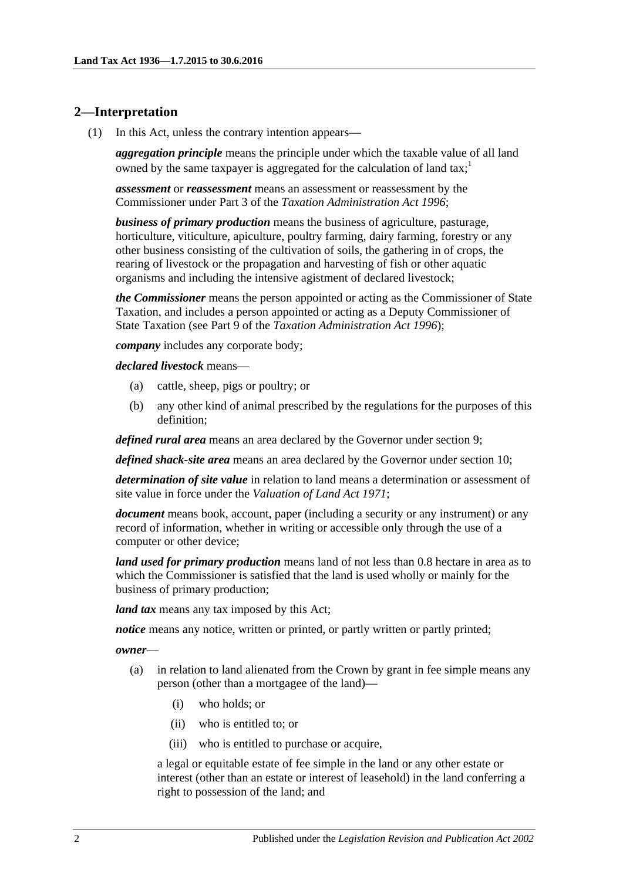#### <span id="page-1-1"></span><span id="page-1-0"></span>**2—Interpretation**

(1) In this Act, unless the contrary intention appears—

*aggregation principle* means the principle under which the taxable value of all land owned by the same taxpayer is aggregated for the calculation of land tax;<sup>1</sup>

*assessment* or *reassessment* means an assessment or reassessment by the Commissioner under Part 3 of the *[Taxation Administration Act](http://www.legislation.sa.gov.au/index.aspx?action=legref&type=act&legtitle=Taxation%20Administration%20Act%201996) 1996*;

*business of primary production* means the business of agriculture, pasturage, horticulture, viticulture, apiculture, poultry farming, dairy farming, forestry or any other business consisting of the cultivation of soils, the gathering in of crops, the rearing of livestock or the propagation and harvesting of fish or other aquatic organisms and including the intensive agistment of declared livestock;

*the Commissioner* means the person appointed or acting as the Commissioner of State Taxation, and includes a person appointed or acting as a Deputy Commissioner of State Taxation (see Part 9 of the *[Taxation Administration Act](http://www.legislation.sa.gov.au/index.aspx?action=legref&type=act&legtitle=Taxation%20Administration%20Act%201996) 1996*);

*company* includes any corporate body;

*declared livestock* means—

- (a) cattle, sheep, pigs or poultry; or
- (b) any other kind of animal prescribed by the regulations for the purposes of this definition;

*defined rural area* means an area declared by the Governor under [section](#page-19-0) 9;

*defined shack-site area* means an area declared by the Governor under [section](#page-19-1) 10;

*determination of site value* in relation to land means a determination or assessment of site value in force under the *[Valuation of Land Act](http://www.legislation.sa.gov.au/index.aspx?action=legref&type=act&legtitle=Valuation%20of%20Land%20Act%201971) 1971*;

*document* means book, account, paper (including a security or any instrument) or any record of information, whether in writing or accessible only through the use of a computer or other device;

*land used for primary production* means land of not less than 0.8 hectare in area as to which the Commissioner is satisfied that the land is used wholly or mainly for the business of primary production;

*land tax* means any tax imposed by this Act;

*notice* means any notice, written or printed, or partly written or partly printed;

*owner*—

- (a) in relation to land alienated from the Crown by grant in fee simple means any person (other than a mortgagee of the land)—
	- (i) who holds; or
	- (ii) who is entitled to; or
	- (iii) who is entitled to purchase or acquire,

a legal or equitable estate of fee simple in the land or any other estate or interest (other than an estate or interest of leasehold) in the land conferring a right to possession of the land; and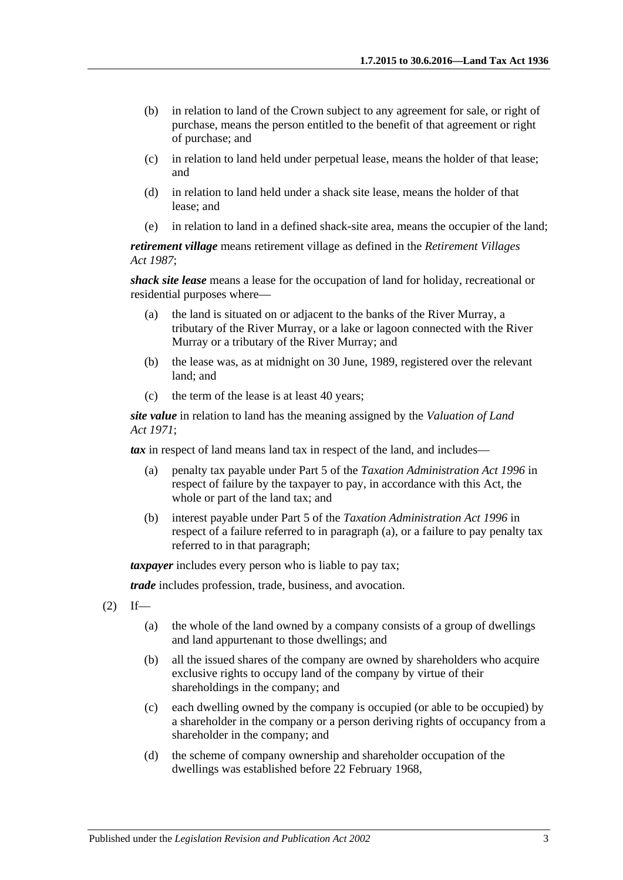- (b) in relation to land of the Crown subject to any agreement for sale, or right of purchase, means the person entitled to the benefit of that agreement or right of purchase; and
- (c) in relation to land held under perpetual lease, means the holder of that lease; and
- (d) in relation to land held under a shack site lease, means the holder of that lease; and
- (e) in relation to land in a defined shack-site area, means the occupier of the land;

*retirement village* means retirement village as defined in the *[Retirement Villages](http://www.legislation.sa.gov.au/index.aspx?action=legref&type=act&legtitle=Retirement%20Villages%20Act%201987)  Act [1987](http://www.legislation.sa.gov.au/index.aspx?action=legref&type=act&legtitle=Retirement%20Villages%20Act%201987)*;

*shack site lease* means a lease for the occupation of land for holiday, recreational or residential purposes where—

- (a) the land is situated on or adjacent to the banks of the River Murray, a tributary of the River Murray, or a lake or lagoon connected with the River Murray or a tributary of the River Murray; and
- (b) the lease was, as at midnight on 30 June, 1989, registered over the relevant land; and
- (c) the term of the lease is at least 40 years;

*site value* in relation to land has the meaning assigned by the *[Valuation of Land](http://www.legislation.sa.gov.au/index.aspx?action=legref&type=act&legtitle=Valuation%20of%20Land%20Act%201971)  Act [1971](http://www.legislation.sa.gov.au/index.aspx?action=legref&type=act&legtitle=Valuation%20of%20Land%20Act%201971)*;

<span id="page-2-0"></span>*tax* in respect of land means land tax in respect of the land, and includes—

- (a) penalty tax payable under Part 5 of the *[Taxation Administration Act](http://www.legislation.sa.gov.au/index.aspx?action=legref&type=act&legtitle=Taxation%20Administration%20Act%201996) 1996* in respect of failure by the taxpayer to pay, in accordance with this Act, the whole or part of the land tax; and
- (b) interest payable under Part 5 of the *[Taxation Administration Act](http://www.legislation.sa.gov.au/index.aspx?action=legref&type=act&legtitle=Taxation%20Administration%20Act%201996) 1996* in respect of a failure referred to in [paragraph](#page-2-0) (a), or a failure to pay penalty tax referred to in that paragraph;

*taxpayer* includes every person who is liable to pay tax;

*trade* includes profession, trade, business, and avocation.

- $(2)$  If—
	- (a) the whole of the land owned by a company consists of a group of dwellings and land appurtenant to those dwellings; and
	- (b) all the issued shares of the company are owned by shareholders who acquire exclusive rights to occupy land of the company by virtue of their shareholdings in the company; and
	- (c) each dwelling owned by the company is occupied (or able to be occupied) by a shareholder in the company or a person deriving rights of occupancy from a shareholder in the company; and
	- (d) the scheme of company ownership and shareholder occupation of the dwellings was established before 22 February 1968,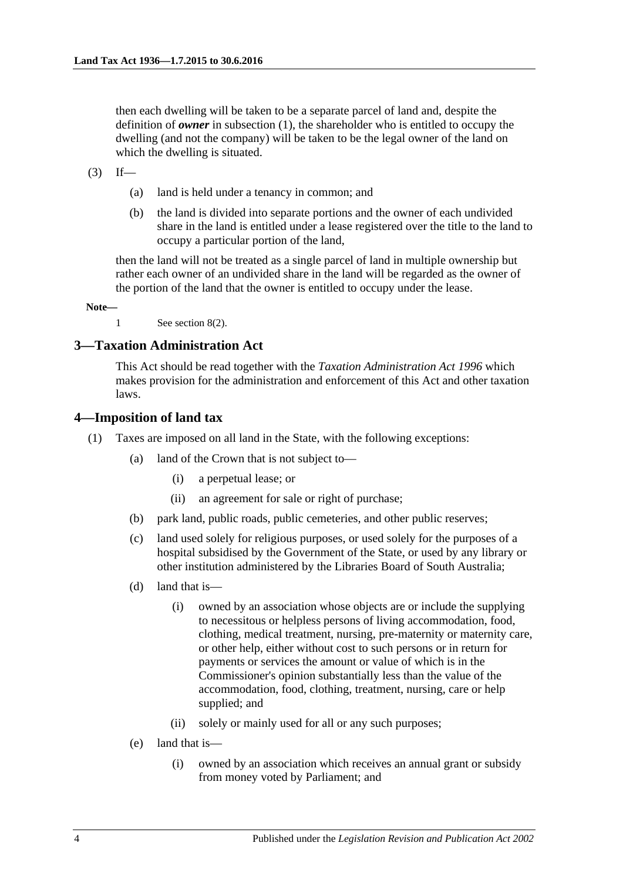then each dwelling will be taken to be a separate parcel of land and, despite the definition of *owner* in [subsection](#page-1-1) (1), the shareholder who is entitled to occupy the dwelling (and not the company) will be taken to be the legal owner of the land on which the dwelling is situated.

 $(3)$  If—

- (a) land is held under a tenancy in common; and
- (b) the land is divided into separate portions and the owner of each undivided share in the land is entitled under a lease registered over the title to the land to occupy a particular portion of the land,

then the land will not be treated as a single parcel of land in multiple ownership but rather each owner of an undivided share in the land will be regarded as the owner of the portion of the land that the owner is entitled to occupy under the lease.

**Note—**

1 See section 8(2).

#### <span id="page-3-0"></span>**3—Taxation Administration Act**

This Act should be read together with the *[Taxation Administration Act](http://www.legislation.sa.gov.au/index.aspx?action=legref&type=act&legtitle=Taxation%20Administration%20Act%201996) 1996* which makes provision for the administration and enforcement of this Act and other taxation laws.

#### <span id="page-3-1"></span>**4—Imposition of land tax**

- <span id="page-3-3"></span><span id="page-3-2"></span>(1) Taxes are imposed on all land in the State, with the following exceptions:
	- (a) land of the Crown that is not subject to—
		- (i) a perpetual lease; or
		- (ii) an agreement for sale or right of purchase;
	- (b) park land, public roads, public cemeteries, and other public reserves;
	- (c) land used solely for religious purposes, or used solely for the purposes of a hospital subsidised by the Government of the State, or used by any library or other institution administered by the Libraries Board of South Australia;
	- (d) land that is—
		- (i) owned by an association whose objects are or include the supplying to necessitous or helpless persons of living accommodation, food, clothing, medical treatment, nursing, pre-maternity or maternity care, or other help, either without cost to such persons or in return for payments or services the amount or value of which is in the Commissioner's opinion substantially less than the value of the accommodation, food, clothing, treatment, nursing, care or help supplied; and
		- (ii) solely or mainly used for all or any such purposes;
	- (e) land that is—
		- (i) owned by an association which receives an annual grant or subsidy from money voted by Parliament; and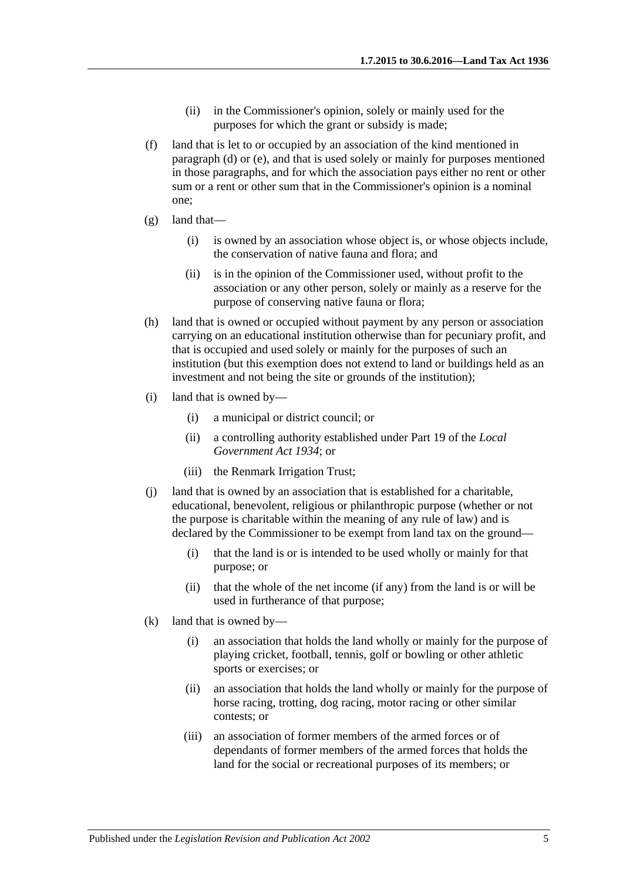- (ii) in the Commissioner's opinion, solely or mainly used for the purposes for which the grant or subsidy is made;
- (f) land that is let to or occupied by an association of the kind mentioned in [paragraph](#page-3-2) (d) or [\(e\),](#page-3-3) and that is used solely or mainly for purposes mentioned in those paragraphs, and for which the association pays either no rent or other sum or a rent or other sum that in the Commissioner's opinion is a nominal one;
- (g) land that—
	- (i) is owned by an association whose object is, or whose objects include, the conservation of native fauna and flora; and
	- (ii) is in the opinion of the Commissioner used, without profit to the association or any other person, solely or mainly as a reserve for the purpose of conserving native fauna or flora;
- (h) land that is owned or occupied without payment by any person or association carrying on an educational institution otherwise than for pecuniary profit, and that is occupied and used solely or mainly for the purposes of such an institution (but this exemption does not extend to land or buildings held as an investment and not being the site or grounds of the institution);
- (i) land that is owned by—
	- (i) a municipal or district council; or
	- (ii) a controlling authority established under Part 19 of the *[Local](http://www.legislation.sa.gov.au/index.aspx?action=legref&type=act&legtitle=Local%20Government%20Act%201934)  [Government Act](http://www.legislation.sa.gov.au/index.aspx?action=legref&type=act&legtitle=Local%20Government%20Act%201934) 1934*; or
	- (iii) the Renmark Irrigation Trust;
- (j) land that is owned by an association that is established for a charitable, educational, benevolent, religious or philanthropic purpose (whether or not the purpose is charitable within the meaning of any rule of law) and is declared by the Commissioner to be exempt from land tax on the ground—
	- (i) that the land is or is intended to be used wholly or mainly for that purpose; or
	- (ii) that the whole of the net income (if any) from the land is or will be used in furtherance of that purpose;
- (k) land that is owned by—
	- (i) an association that holds the land wholly or mainly for the purpose of playing cricket, football, tennis, golf or bowling or other athletic sports or exercises; or
	- (ii) an association that holds the land wholly or mainly for the purpose of horse racing, trotting, dog racing, motor racing or other similar contests; or
	- (iii) an association of former members of the armed forces or of dependants of former members of the armed forces that holds the land for the social or recreational purposes of its members; or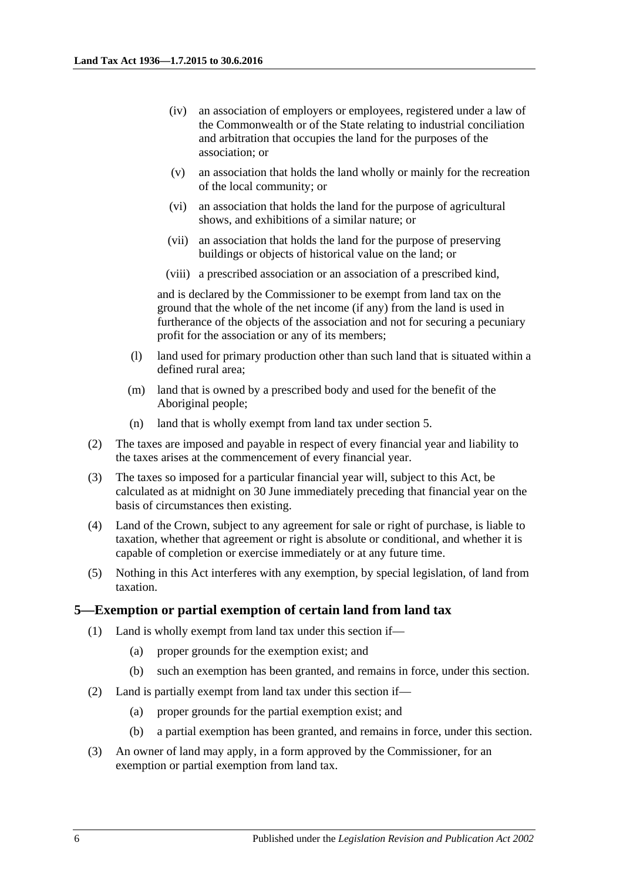- (iv) an association of employers or employees, registered under a law of the Commonwealth or of the State relating to industrial conciliation and arbitration that occupies the land for the purposes of the association; or
- (v) an association that holds the land wholly or mainly for the recreation of the local community; or
- (vi) an association that holds the land for the purpose of agricultural shows, and exhibitions of a similar nature; or
- (vii) an association that holds the land for the purpose of preserving buildings or objects of historical value on the land; or
- (viii) a prescribed association or an association of a prescribed kind,

and is declared by the Commissioner to be exempt from land tax on the ground that the whole of the net income (if any) from the land is used in furtherance of the objects of the association and not for securing a pecuniary profit for the association or any of its members;

- (l) land used for primary production other than such land that is situated within a defined rural area;
- (m) land that is owned by a prescribed body and used for the benefit of the Aboriginal people;
- (n) land that is wholly exempt from land tax under [section](#page-5-0) 5.
- (2) The taxes are imposed and payable in respect of every financial year and liability to the taxes arises at the commencement of every financial year.
- (3) The taxes so imposed for a particular financial year will, subject to this Act, be calculated as at midnight on 30 June immediately preceding that financial year on the basis of circumstances then existing.
- (4) Land of the Crown, subject to any agreement for sale or right of purchase, is liable to taxation, whether that agreement or right is absolute or conditional, and whether it is capable of completion or exercise immediately or at any future time.
- (5) Nothing in this Act interferes with any exemption, by special legislation, of land from taxation.

#### <span id="page-5-0"></span>**5—Exemption or partial exemption of certain land from land tax**

- (1) Land is wholly exempt from land tax under this section if—
	- (a) proper grounds for the exemption exist; and
	- (b) such an exemption has been granted, and remains in force, under this section.
- (2) Land is partially exempt from land tax under this section if—
	- (a) proper grounds for the partial exemption exist; and
	- (b) a partial exemption has been granted, and remains in force, under this section.
- <span id="page-5-1"></span>(3) An owner of land may apply, in a form approved by the Commissioner, for an exemption or partial exemption from land tax.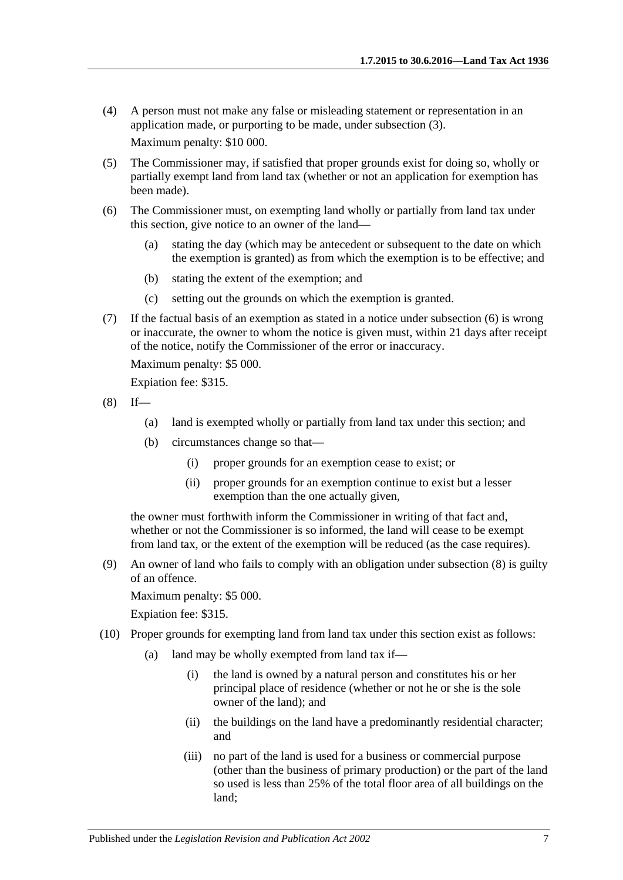- (4) A person must not make any false or misleading statement or representation in an application made, or purporting to be made, under [subsection](#page-5-1) (3). Maximum penalty: \$10 000.
- (5) The Commissioner may, if satisfied that proper grounds exist for doing so, wholly or partially exempt land from land tax (whether or not an application for exemption has been made).
- <span id="page-6-0"></span>(6) The Commissioner must, on exempting land wholly or partially from land tax under this section, give notice to an owner of the land—
	- (a) stating the day (which may be antecedent or subsequent to the date on which the exemption is granted) as from which the exemption is to be effective; and
	- (b) stating the extent of the exemption; and
	- (c) setting out the grounds on which the exemption is granted.
- (7) If the factual basis of an exemption as stated in a notice under [subsection](#page-6-0) (6) is wrong or inaccurate, the owner to whom the notice is given must, within 21 days after receipt of the notice, notify the Commissioner of the error or inaccuracy.

Maximum penalty: \$5 000.

Expiation fee: \$315.

- <span id="page-6-1"></span> $(8)$  If—
	- (a) land is exempted wholly or partially from land tax under this section; and
	- (b) circumstances change so that—
		- (i) proper grounds for an exemption cease to exist; or
		- (ii) proper grounds for an exemption continue to exist but a lesser exemption than the one actually given,

the owner must forthwith inform the Commissioner in writing of that fact and, whether or not the Commissioner is so informed, the land will cease to be exempt from land tax, or the extent of the exemption will be reduced (as the case requires).

(9) An owner of land who fails to comply with an obligation under [subsection](#page-6-1) (8) is guilty of an offence.

Maximum penalty: \$5 000.

Expiation fee: \$315.

- <span id="page-6-2"></span>(10) Proper grounds for exempting land from land tax under this section exist as follows:
	- (a) land may be wholly exempted from land tax if—
		- (i) the land is owned by a natural person and constitutes his or her principal place of residence (whether or not he or she is the sole owner of the land); and
		- (ii) the buildings on the land have a predominantly residential character; and
		- (iii) no part of the land is used for a business or commercial purpose (other than the business of primary production) or the part of the land so used is less than 25% of the total floor area of all buildings on the land;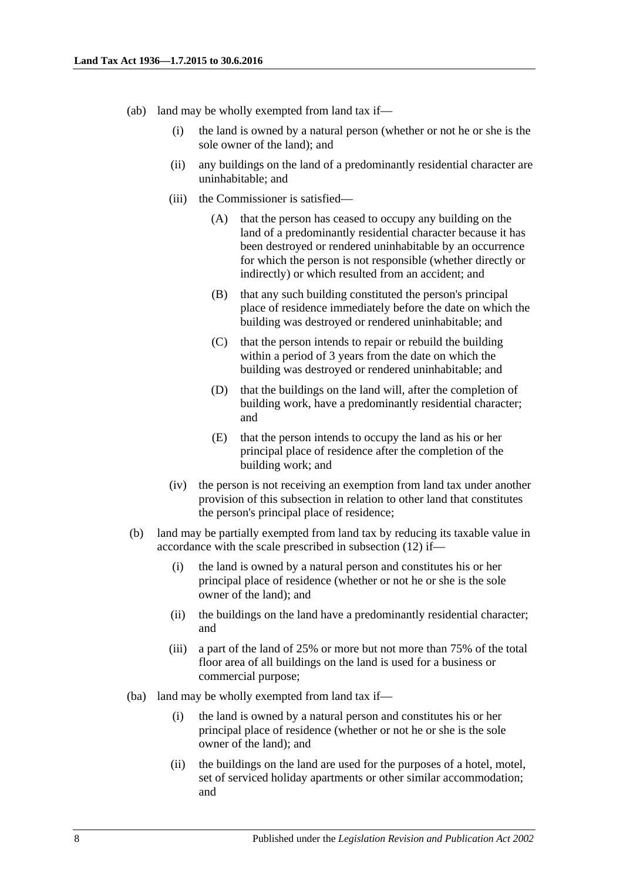- <span id="page-7-0"></span>(ab) land may be wholly exempted from land tax if—
	- (i) the land is owned by a natural person (whether or not he or she is the sole owner of the land); and
	- (ii) any buildings on the land of a predominantly residential character are uninhabitable; and
	- (iii) the Commissioner is satisfied—
		- (A) that the person has ceased to occupy any building on the land of a predominantly residential character because it has been destroyed or rendered uninhabitable by an occurrence for which the person is not responsible (whether directly or indirectly) or which resulted from an accident; and
		- (B) that any such building constituted the person's principal place of residence immediately before the date on which the building was destroyed or rendered uninhabitable; and
		- (C) that the person intends to repair or rebuild the building within a period of 3 years from the date on which the building was destroyed or rendered uninhabitable; and
		- (D) that the buildings on the land will, after the completion of building work, have a predominantly residential character; and
		- (E) that the person intends to occupy the land as his or her principal place of residence after the completion of the building work; and
	- (iv) the person is not receiving an exemption from land tax under another provision of this subsection in relation to other land that constitutes the person's principal place of residence;
- <span id="page-7-1"></span>(b) land may be partially exempted from land tax by reducing its taxable value in accordance with the scale prescribed in [subsection](#page-10-0) (12) if—
	- (i) the land is owned by a natural person and constitutes his or her principal place of residence (whether or not he or she is the sole owner of the land); and
	- (ii) the buildings on the land have a predominantly residential character; and
	- (iii) a part of the land of 25% or more but not more than 75% of the total floor area of all buildings on the land is used for a business or commercial purpose;
- (ba) land may be wholly exempted from land tax if—
	- (i) the land is owned by a natural person and constitutes his or her principal place of residence (whether or not he or she is the sole owner of the land); and
	- (ii) the buildings on the land are used for the purposes of a hotel, motel, set of serviced holiday apartments or other similar accommodation; and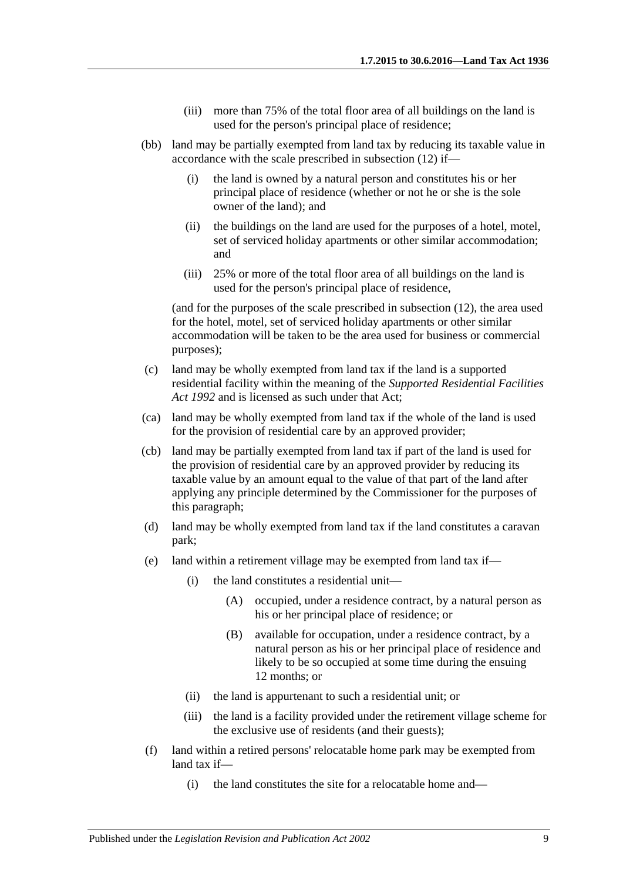- (iii) more than 75% of the total floor area of all buildings on the land is used for the person's principal place of residence;
- <span id="page-8-0"></span>(bb) land may be partially exempted from land tax by reducing its taxable value in accordance with the scale prescribed in [subsection](#page-10-0) (12) if—
	- (i) the land is owned by a natural person and constitutes his or her principal place of residence (whether or not he or she is the sole owner of the land); and
	- (ii) the buildings on the land are used for the purposes of a hotel, motel, set of serviced holiday apartments or other similar accommodation; and
	- (iii) 25% or more of the total floor area of all buildings on the land is used for the person's principal place of residence,

(and for the purposes of the scale prescribed in [subsection](#page-10-0) (12), the area used for the hotel, motel, set of serviced holiday apartments or other similar accommodation will be taken to be the area used for business or commercial purposes);

- (c) land may be wholly exempted from land tax if the land is a supported residential facility within the meaning of the *[Supported Residential Facilities](http://www.legislation.sa.gov.au/index.aspx?action=legref&type=act&legtitle=Supported%20Residential%20Facilities%20Act%201992)  Act [1992](http://www.legislation.sa.gov.au/index.aspx?action=legref&type=act&legtitle=Supported%20Residential%20Facilities%20Act%201992)* and is licensed as such under that Act;
- (ca) land may be wholly exempted from land tax if the whole of the land is used for the provision of residential care by an approved provider;
- (cb) land may be partially exempted from land tax if part of the land is used for the provision of residential care by an approved provider by reducing its taxable value by an amount equal to the value of that part of the land after applying any principle determined by the Commissioner for the purposes of this paragraph;
- (d) land may be wholly exempted from land tax if the land constitutes a caravan park;
- (e) land within a retirement village may be exempted from land tax if—
	- (i) the land constitutes a residential unit—
		- (A) occupied, under a residence contract, by a natural person as his or her principal place of residence; or
		- (B) available for occupation, under a residence contract, by a natural person as his or her principal place of residence and likely to be so occupied at some time during the ensuing 12 months; or
	- (ii) the land is appurtenant to such a residential unit; or
	- (iii) the land is a facility provided under the retirement village scheme for the exclusive use of residents (and their guests);
- (f) land within a retired persons' relocatable home park may be exempted from land tax if—
	- (i) the land constitutes the site for a relocatable home and—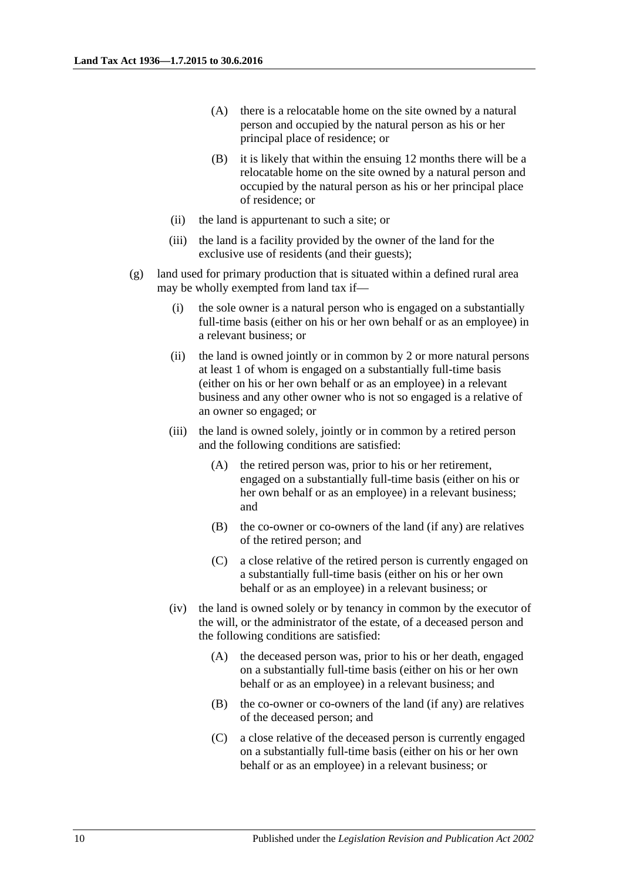- (A) there is a relocatable home on the site owned by a natural person and occupied by the natural person as his or her principal place of residence; or
- (B) it is likely that within the ensuing 12 months there will be a relocatable home on the site owned by a natural person and occupied by the natural person as his or her principal place of residence; or
- (ii) the land is appurtenant to such a site; or
- (iii) the land is a facility provided by the owner of the land for the exclusive use of residents (and their guests);
- (g) land used for primary production that is situated within a defined rural area may be wholly exempted from land tax if—
	- (i) the sole owner is a natural person who is engaged on a substantially full-time basis (either on his or her own behalf or as an employee) in a relevant business; or
	- (ii) the land is owned jointly or in common by 2 or more natural persons at least 1 of whom is engaged on a substantially full-time basis (either on his or her own behalf or as an employee) in a relevant business and any other owner who is not so engaged is a relative of an owner so engaged; or
	- (iii) the land is owned solely, jointly or in common by a retired person and the following conditions are satisfied:
		- (A) the retired person was, prior to his or her retirement, engaged on a substantially full-time basis (either on his or her own behalf or as an employee) in a relevant business; and
		- (B) the co-owner or co-owners of the land (if any) are relatives of the retired person; and
		- (C) a close relative of the retired person is currently engaged on a substantially full-time basis (either on his or her own behalf or as an employee) in a relevant business; or
	- (iv) the land is owned solely or by tenancy in common by the executor of the will, or the administrator of the estate, of a deceased person and the following conditions are satisfied:
		- (A) the deceased person was, prior to his or her death, engaged on a substantially full-time basis (either on his or her own behalf or as an employee) in a relevant business; and
		- (B) the co-owner or co-owners of the land (if any) are relatives of the deceased person; and
		- (C) a close relative of the deceased person is currently engaged on a substantially full-time basis (either on his or her own behalf or as an employee) in a relevant business; or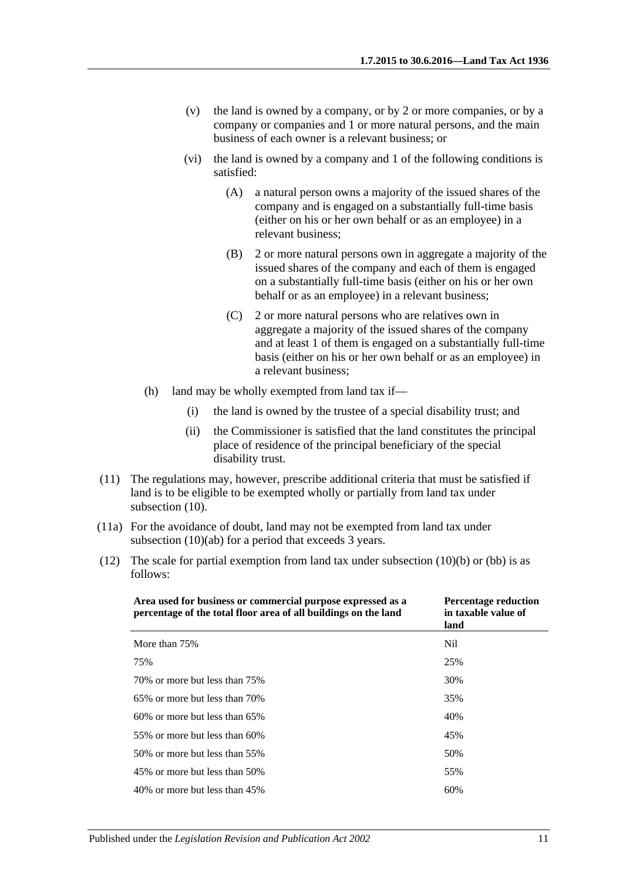- (v) the land is owned by a company, or by 2 or more companies, or by a company or companies and 1 or more natural persons, and the main business of each owner is a relevant business; or
- (vi) the land is owned by a company and 1 of the following conditions is satisfied:
	- (A) a natural person owns a majority of the issued shares of the company and is engaged on a substantially full-time basis (either on his or her own behalf or as an employee) in a relevant business;
	- (B) 2 or more natural persons own in aggregate a majority of the issued shares of the company and each of them is engaged on a substantially full-time basis (either on his or her own behalf or as an employee) in a relevant business;
	- (C) 2 or more natural persons who are relatives own in aggregate a majority of the issued shares of the company and at least 1 of them is engaged on a substantially full-time basis (either on his or her own behalf or as an employee) in a relevant business;
- (h) land may be wholly exempted from land tax if—
	- (i) the land is owned by the trustee of a special disability trust; and
	- (ii) the Commissioner is satisfied that the land constitutes the principal place of residence of the principal beneficiary of the special disability trust.
- (11) The regulations may, however, prescribe additional criteria that must be satisfied if land is to be eligible to be exempted wholly or partially from land tax under [subsection](#page-6-2) (10).
- (11a) For the avoidance of doubt, land may not be exempted from land tax under [subsection](#page-7-0) (10)(ab) for a period that exceeds 3 years.
- <span id="page-10-0"></span>(12) The scale for partial exemption from land tax under [subsection](#page-7-1)  $(10)(b)$  or  $(bb)$  is as follows:

| Area used for business or commercial purpose expressed as a<br>percentage of the total floor area of all buildings on the land | <b>Percentage reduction</b><br>in taxable value of<br>land |
|--------------------------------------------------------------------------------------------------------------------------------|------------------------------------------------------------|
| More than 75%                                                                                                                  | Nil                                                        |
| 75%                                                                                                                            | 25%                                                        |
| 70% or more but less than 75%                                                                                                  | 30%                                                        |
| 65% or more but less than 70%                                                                                                  | 35%                                                        |
| $60\%$ or more but less than $65\%$                                                                                            | 40%                                                        |
| 55% or more but less than 60%                                                                                                  | 45%                                                        |
| 50% or more but less than 55%                                                                                                  | 50%                                                        |
| 45% or more but less than 50%                                                                                                  | 55%                                                        |
| 40% or more but less than 45%                                                                                                  | 60%                                                        |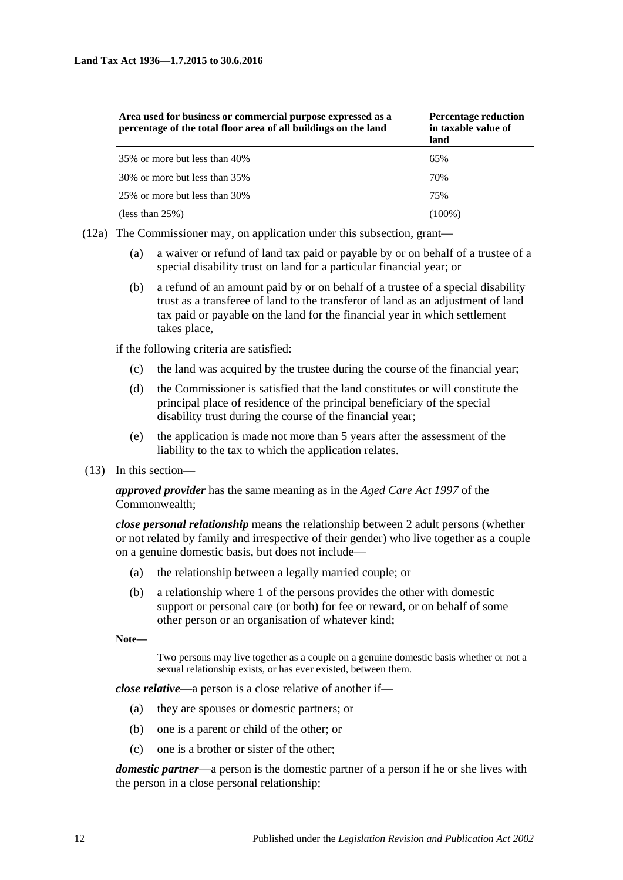| Area used for business or commercial purpose expressed as a<br>percentage of the total floor area of all buildings on the land | <b>Percentage reduction</b><br>in taxable value of<br>land |  |
|--------------------------------------------------------------------------------------------------------------------------------|------------------------------------------------------------|--|
| 35% or more but less than 40%                                                                                                  | 65%                                                        |  |
| 30% or more but less than 35%                                                                                                  | 70%                                                        |  |
| 25% or more but less than 30%                                                                                                  | 75%                                                        |  |
| $(\text{less than } 25\%)$                                                                                                     | $(100\%)$                                                  |  |

(12a) The Commissioner may, on application under this subsection, grant—

- (a) a waiver or refund of land tax paid or payable by or on behalf of a trustee of a special disability trust on land for a particular financial year; or
- (b) a refund of an amount paid by or on behalf of a trustee of a special disability trust as a transferee of land to the transferor of land as an adjustment of land tax paid or payable on the land for the financial year in which settlement takes place,

if the following criteria are satisfied:

- (c) the land was acquired by the trustee during the course of the financial year;
- (d) the Commissioner is satisfied that the land constitutes or will constitute the principal place of residence of the principal beneficiary of the special disability trust during the course of the financial year;
- (e) the application is made not more than 5 years after the assessment of the liability to the tax to which the application relates.
- (13) In this section—

*approved provider* has the same meaning as in the *Aged Care Act 1997* of the Commonwealth;

*close personal relationship* means the relationship between 2 adult persons (whether or not related by family and irrespective of their gender) who live together as a couple on a genuine domestic basis, but does not include—

- (a) the relationship between a legally married couple; or
- (b) a relationship where 1 of the persons provides the other with domestic support or personal care (or both) for fee or reward, or on behalf of some other person or an organisation of whatever kind;

**Note—**

Two persons may live together as a couple on a genuine domestic basis whether or not a sexual relationship exists, or has ever existed, between them.

*close relative*—a person is a close relative of another if—

- (a) they are spouses or domestic partners; or
- (b) one is a parent or child of the other; or
- (c) one is a brother or sister of the other;

*domestic partner*—a person is the domestic partner of a person if he or she lives with the person in a close personal relationship;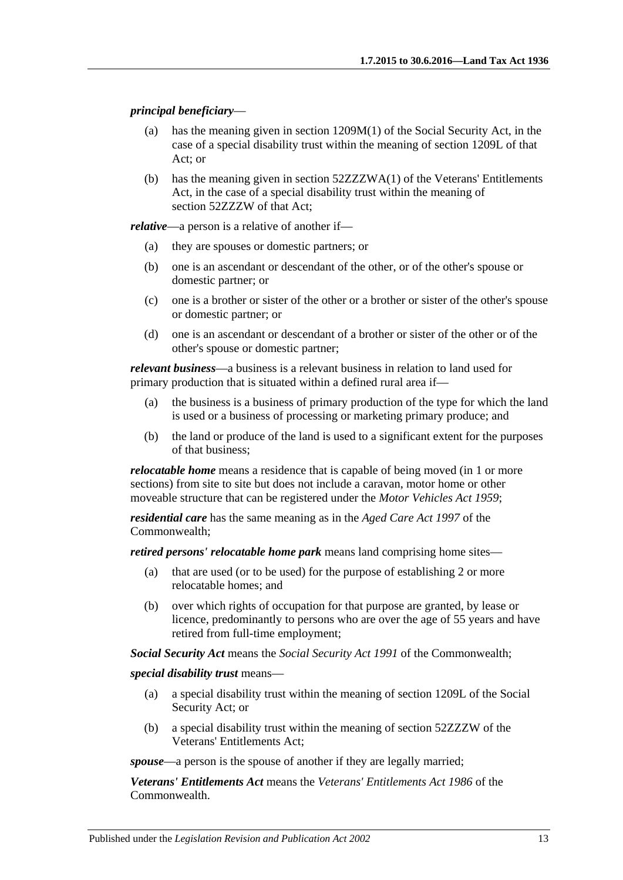#### *principal beneficiary*—

- (a) has the meaning given in section 1209M(1) of the Social Security Act, in the case of a special disability trust within the meaning of section 1209L of that Act; or
- (b) has the meaning given in section 52ZZZWA(1) of the Veterans' Entitlements Act, in the case of a special disability trust within the meaning of section 52ZZZW of that Act:

*relative*—a person is a relative of another if—

- (a) they are spouses or domestic partners; or
- (b) one is an ascendant or descendant of the other, or of the other's spouse or domestic partner; or
- (c) one is a brother or sister of the other or a brother or sister of the other's spouse or domestic partner; or
- (d) one is an ascendant or descendant of a brother or sister of the other or of the other's spouse or domestic partner;

*relevant business*—a business is a relevant business in relation to land used for primary production that is situated within a defined rural area if—

- (a) the business is a business of primary production of the type for which the land is used or a business of processing or marketing primary produce; and
- (b) the land or produce of the land is used to a significant extent for the purposes of that business;

*relocatable home* means a residence that is capable of being moved (in 1 or more sections) from site to site but does not include a caravan, motor home or other moveable structure that can be registered under the *[Motor Vehicles Act](http://www.legislation.sa.gov.au/index.aspx?action=legref&type=act&legtitle=Motor%20Vehicles%20Act%201959) 1959*;

*residential care* has the same meaning as in the *Aged Care Act 1997* of the Commonwealth;

*retired persons' relocatable home park* means land comprising home sites—

- (a) that are used (or to be used) for the purpose of establishing 2 or more relocatable homes; and
- (b) over which rights of occupation for that purpose are granted, by lease or licence, predominantly to persons who are over the age of 55 years and have retired from full-time employment;

*Social Security Act* means the *Social Security Act 1991* of the Commonwealth;

*special disability trust* means—

- (a) a special disability trust within the meaning of section 1209L of the Social Security Act; or
- (b) a special disability trust within the meaning of section 52ZZZW of the Veterans' Entitlements Act;

*spouse*—a person is the spouse of another if they are legally married;

*Veterans' Entitlements Act* means the *Veterans' Entitlements Act 1986* of the Commonwealth.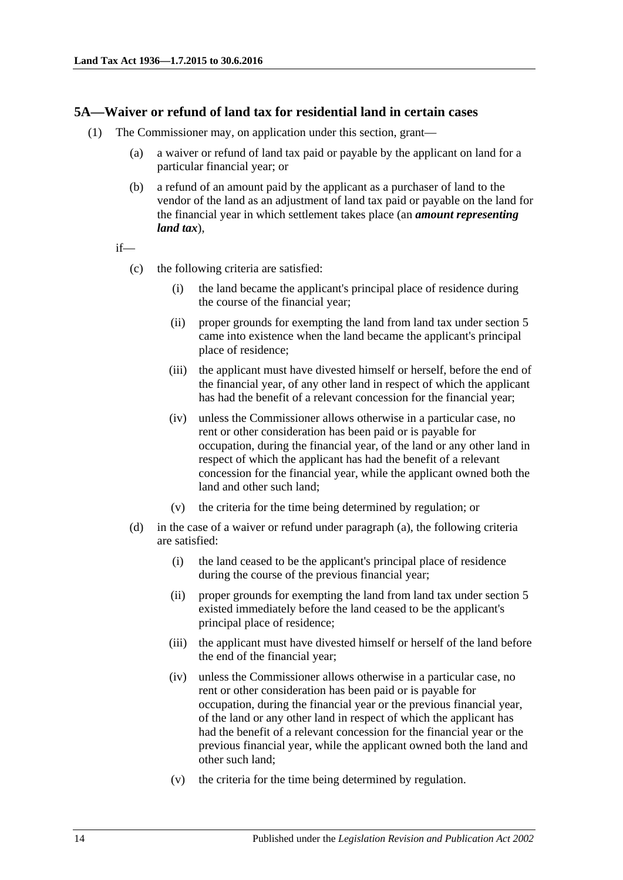#### <span id="page-13-1"></span><span id="page-13-0"></span>**5A—Waiver or refund of land tax for residential land in certain cases**

- (1) The Commissioner may, on application under this section, grant—
	- (a) a waiver or refund of land tax paid or payable by the applicant on land for a particular financial year; or
	- (b) a refund of an amount paid by the applicant as a purchaser of land to the vendor of the land as an adjustment of land tax paid or payable on the land for the financial year in which settlement takes place (an *amount representing land tax*),

if—

- (c) the following criteria are satisfied:
	- (i) the land became the applicant's principal place of residence during the course of the financial year;
	- (ii) proper grounds for exempting the land from land tax under [section](#page-5-0) 5 came into existence when the land became the applicant's principal place of residence;
	- (iii) the applicant must have divested himself or herself, before the end of the financial year, of any other land in respect of which the applicant has had the benefit of a relevant concession for the financial year;
	- (iv) unless the Commissioner allows otherwise in a particular case, no rent or other consideration has been paid or is payable for occupation, during the financial year, of the land or any other land in respect of which the applicant has had the benefit of a relevant concession for the financial year, while the applicant owned both the land and other such land;
	- (v) the criteria for the time being determined by regulation; or
- (d) in the case of a waiver or refund under paragraph (a), the following criteria are satisfied:
	- (i) the land ceased to be the applicant's principal place of residence during the course of the previous financial year;
	- (ii) proper grounds for exempting the land from land tax under [section](#page-5-0) 5 existed immediately before the land ceased to be the applicant's principal place of residence;
	- (iii) the applicant must have divested himself or herself of the land before the end of the financial year;
	- (iv) unless the Commissioner allows otherwise in a particular case, no rent or other consideration has been paid or is payable for occupation, during the financial year or the previous financial year, of the land or any other land in respect of which the applicant has had the benefit of a relevant concession for the financial year or the previous financial year, while the applicant owned both the land and other such land;
	- (v) the criteria for the time being determined by regulation.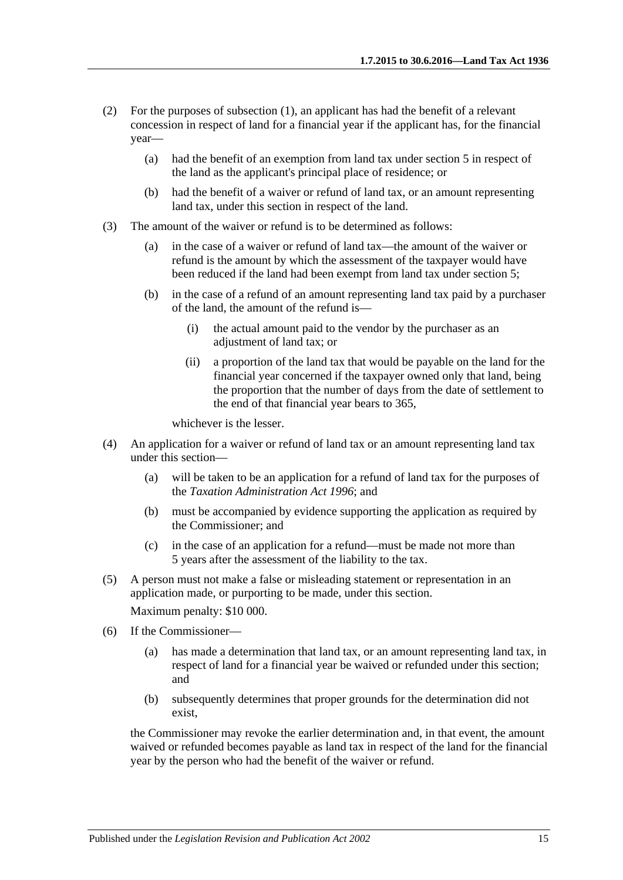- (2) For the purposes of [subsection](#page-13-1) (1), an applicant has had the benefit of a relevant concession in respect of land for a financial year if the applicant has, for the financial year—
	- (a) had the benefit of an exemption from land tax under [section](#page-5-0) 5 in respect of the land as the applicant's principal place of residence; or
	- (b) had the benefit of a waiver or refund of land tax, or an amount representing land tax, under this section in respect of the land.
- (3) The amount of the waiver or refund is to be determined as follows:
	- (a) in the case of a waiver or refund of land tax—the amount of the waiver or refund is the amount by which the assessment of the taxpayer would have been reduced if the land had been exempt from land tax under [section](#page-5-0) 5;
	- (b) in the case of a refund of an amount representing land tax paid by a purchaser of the land, the amount of the refund is—
		- (i) the actual amount paid to the vendor by the purchaser as an adjustment of land tax; or
		- (ii) a proportion of the land tax that would be payable on the land for the financial year concerned if the taxpayer owned only that land, being the proportion that the number of days from the date of settlement to the end of that financial year bears to 365,

whichever is the lesser.

- (4) An application for a waiver or refund of land tax or an amount representing land tax under this section—
	- (a) will be taken to be an application for a refund of land tax for the purposes of the *[Taxation Administration Act](http://www.legislation.sa.gov.au/index.aspx?action=legref&type=act&legtitle=Taxation%20Administration%20Act%201996) 1996*; and
	- (b) must be accompanied by evidence supporting the application as required by the Commissioner; and
	- (c) in the case of an application for a refund—must be made not more than 5 years after the assessment of the liability to the tax.
- (5) A person must not make a false or misleading statement or representation in an application made, or purporting to be made, under this section.

Maximum penalty: \$10 000.

- (6) If the Commissioner—
	- (a) has made a determination that land tax, or an amount representing land tax, in respect of land for a financial year be waived or refunded under this section; and
	- (b) subsequently determines that proper grounds for the determination did not exist,

the Commissioner may revoke the earlier determination and, in that event, the amount waived or refunded becomes payable as land tax in respect of the land for the financial year by the person who had the benefit of the waiver or refund.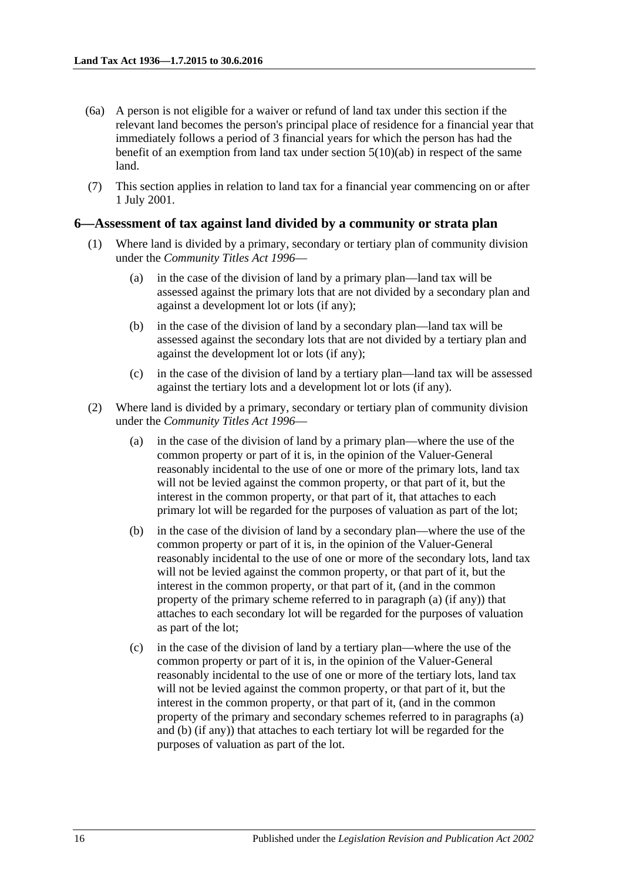- (6a) A person is not eligible for a waiver or refund of land tax under this section if the relevant land becomes the person's principal place of residence for a financial year that immediately follows a period of 3 financial years for which the person has had the benefit of an exemption from land tax under section [5\(10\)\(ab\)](#page-7-0) in respect of the same land.
- (7) This section applies in relation to land tax for a financial year commencing on or after 1 July 2001.

#### <span id="page-15-0"></span>**6—Assessment of tax against land divided by a community or strata plan**

- (1) Where land is divided by a primary, secondary or tertiary plan of community division under the *[Community Titles Act](http://www.legislation.sa.gov.au/index.aspx?action=legref&type=act&legtitle=Community%20Titles%20Act%201996) 1996*—
	- (a) in the case of the division of land by a primary plan—land tax will be assessed against the primary lots that are not divided by a secondary plan and against a development lot or lots (if any);
	- (b) in the case of the division of land by a secondary plan—land tax will be assessed against the secondary lots that are not divided by a tertiary plan and against the development lot or lots (if any);
	- (c) in the case of the division of land by a tertiary plan—land tax will be assessed against the tertiary lots and a development lot or lots (if any).
- <span id="page-15-2"></span><span id="page-15-1"></span>(2) Where land is divided by a primary, secondary or tertiary plan of community division under the *[Community Titles Act](http://www.legislation.sa.gov.au/index.aspx?action=legref&type=act&legtitle=Community%20Titles%20Act%201996) 1996*—
	- (a) in the case of the division of land by a primary plan—where the use of the common property or part of it is, in the opinion of the Valuer-General reasonably incidental to the use of one or more of the primary lots, land tax will not be levied against the common property, or that part of it, but the interest in the common property, or that part of it, that attaches to each primary lot will be regarded for the purposes of valuation as part of the lot;
	- (b) in the case of the division of land by a secondary plan—where the use of the common property or part of it is, in the opinion of the Valuer-General reasonably incidental to the use of one or more of the secondary lots, land tax will not be levied against the common property, or that part of it, but the interest in the common property, or that part of it, (and in the common property of the primary scheme referred to in [paragraph](#page-15-1) (a) (if any)) that attaches to each secondary lot will be regarded for the purposes of valuation as part of the lot;
	- (c) in the case of the division of land by a tertiary plan—where the use of the common property or part of it is, in the opinion of the Valuer-General reasonably incidental to the use of one or more of the tertiary lots, land tax will not be levied against the common property, or that part of it, but the interest in the common property, or that part of it, (and in the common property of the primary and secondary schemes referred to in [paragraphs](#page-15-1) (a) and [\(b\)](#page-15-2) (if any)) that attaches to each tertiary lot will be regarded for the purposes of valuation as part of the lot.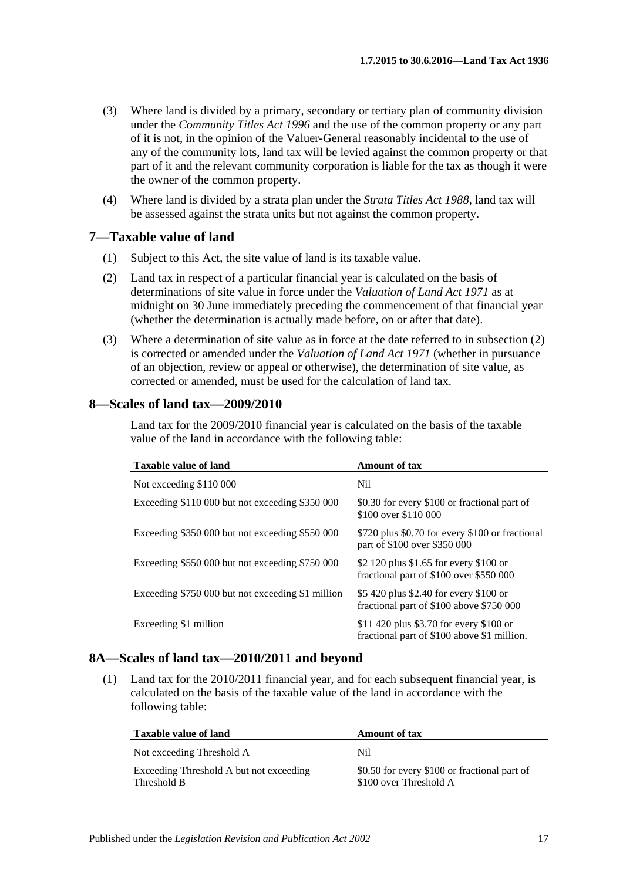- (3) Where land is divided by a primary, secondary or tertiary plan of community division under the *[Community Titles Act](http://www.legislation.sa.gov.au/index.aspx?action=legref&type=act&legtitle=Community%20Titles%20Act%201996) 1996* and the use of the common property or any part of it is not, in the opinion of the Valuer-General reasonably incidental to the use of any of the community lots, land tax will be levied against the common property or that part of it and the relevant community corporation is liable for the tax as though it were the owner of the common property.
- (4) Where land is divided by a strata plan under the *[Strata Titles Act](http://www.legislation.sa.gov.au/index.aspx?action=legref&type=act&legtitle=Strata%20Titles%20Act%201988) 1988*, land tax will be assessed against the strata units but not against the common property.

#### <span id="page-16-0"></span>**7—Taxable value of land**

- (1) Subject to this Act, the site value of land is its taxable value.
- <span id="page-16-3"></span>(2) Land tax in respect of a particular financial year is calculated on the basis of determinations of site value in force under the *[Valuation of Land Act](http://www.legislation.sa.gov.au/index.aspx?action=legref&type=act&legtitle=Valuation%20of%20Land%20Act%201971) 1971* as at midnight on 30 June immediately preceding the commencement of that financial year (whether the determination is actually made before, on or after that date).
- (3) Where a determination of site value as in force at the date referred to in [subsection](#page-16-3) (2) is corrected or amended under the *[Valuation of Land Act](http://www.legislation.sa.gov.au/index.aspx?action=legref&type=act&legtitle=Valuation%20of%20Land%20Act%201971) 1971* (whether in pursuance of an objection, review or appeal or otherwise), the determination of site value, as corrected or amended, must be used for the calculation of land tax.

#### <span id="page-16-1"></span>**8—Scales of land tax—2009/2010**

Land tax for the 2009/2010 financial year is calculated on the basis of the taxable value of the land in accordance with the following table:

| <b>Taxable value of land</b>                      | <b>Amount of tax</b>                                                                   |
|---------------------------------------------------|----------------------------------------------------------------------------------------|
| Not exceeding \$110 000                           | Nil                                                                                    |
| Exceeding \$110 000 but not exceeding \$350 000   | \$0.30 for every \$100 or fractional part of<br>\$100 over \$110 000                   |
| Exceeding \$350 000 but not exceeding \$550 000   | \$720 plus \$0.70 for every \$100 or fractional<br>part of \$100 over \$350 000        |
| Exceeding \$550 000 but not exceeding \$750 000   | \$2 120 plus \$1.65 for every \$100 or<br>fractional part of \$100 over \$550 000      |
| Exceeding \$750 000 but not exceeding \$1 million | \$5 420 plus \$2.40 for every \$100 or<br>fractional part of \$100 above \$750 000     |
| Exceeding \$1 million                             | \$11 420 plus \$3.70 for every \$100 or<br>fractional part of \$100 above \$1 million. |

#### <span id="page-16-2"></span>**8A—Scales of land tax—2010/2011 and beyond**

(1) Land tax for the 2010/2011 financial year, and for each subsequent financial year, is calculated on the basis of the taxable value of the land in accordance with the following table:

| <b>Taxable value of land</b>                           | <b>Amount of tax</b>                                                   |
|--------------------------------------------------------|------------------------------------------------------------------------|
| Not exceeding Threshold A                              | Nil                                                                    |
| Exceeding Threshold A but not exceeding<br>Threshold B | \$0.50 for every \$100 or fractional part of<br>\$100 over Threshold A |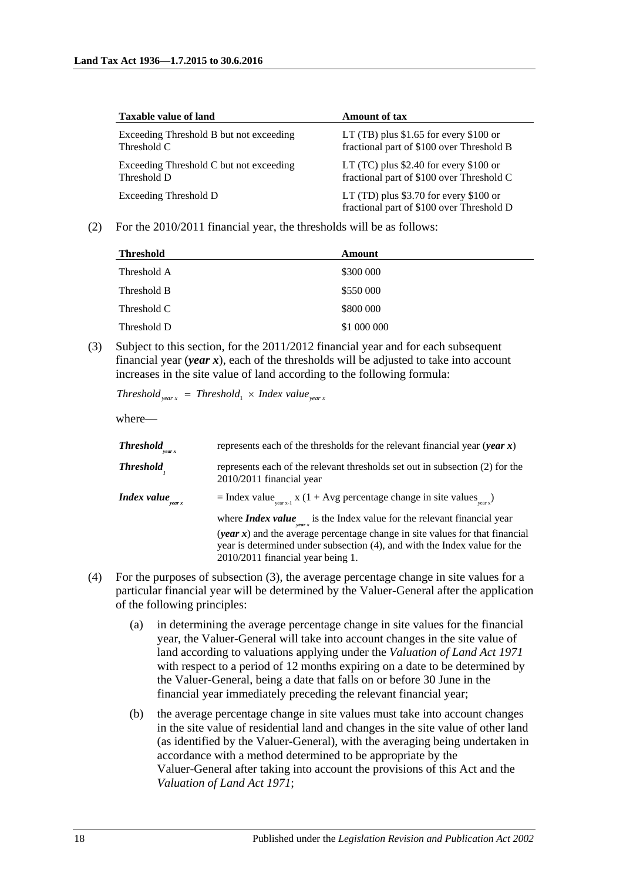| <b>Taxable value of land</b>            | <b>Amount of tax</b>                                                                  |
|-----------------------------------------|---------------------------------------------------------------------------------------|
| Exceeding Threshold B but not exceeding | LT (TB) plus $$1.65$ for every $$100$ or                                              |
| Threshold C                             | fractional part of \$100 over Threshold B                                             |
| Exceeding Threshold C but not exceeding | LT (TC) plus $$2.40$ for every $$100$ or                                              |
| Threshold D                             | fractional part of \$100 over Threshold C                                             |
| Exceeding Threshold D                   | LT (TD) plus $$3.70$ for every $$100$ or<br>fractional part of \$100 over Threshold D |

<span id="page-17-0"></span>(2) For the 2010/2011 financial year, the thresholds will be as follows:

| <b>Threshold</b> | Amount      |
|------------------|-------------|
| Threshold A      | \$300 000   |
| Threshold B      | \$550 000   |
| Threshold C      | \$800 000   |
| Threshold D      | \$1 000 000 |

<span id="page-17-2"></span>(3) Subject to this section, for the 2011/2012 financial year and for each subsequent financial year (*year*  $x$ ), each of the thresholds will be adjusted to take into account increases in the site value of land according to the following formula:

 $Threshold_{year x}$  =  $Threshold_{1} \times Index value_{year x}$ 

where—

| <b>Threshold</b><br>vear x | represents each of the thresholds for the relevant financial year (year $x$ )                                                                                                                                                                                                          |  |
|----------------------------|----------------------------------------------------------------------------------------------------------------------------------------------------------------------------------------------------------------------------------------------------------------------------------------|--|
| Threshold,                 | represents each of the relevant thresholds set out in subsection (2) for the<br>$2010/2011$ financial year                                                                                                                                                                             |  |
| Index value<br>vear x      | = Index value <sub>vear x-1</sub> x (1 + Avg percentage change in site values <sub>vear x</sub> )                                                                                                                                                                                      |  |
|                            | where <b>Index value</b> is the Index value for the relevant financial year<br>( <i>year x</i> ) and the average percentage change in site values for that financial<br>year is determined under subsection (4), and with the Index value for the<br>2010/2011 financial year being 1. |  |

- <span id="page-17-4"></span><span id="page-17-3"></span><span id="page-17-1"></span>(4) For the purposes of [subsection](#page-17-2) (3), the average percentage change in site values for a particular financial year will be determined by the Valuer-General after the application of the following principles:
	- (a) in determining the average percentage change in site values for the financial year, the Valuer-General will take into account changes in the site value of land according to valuations applying under the *[Valuation of Land Act](http://www.legislation.sa.gov.au/index.aspx?action=legref&type=act&legtitle=Valuation%20of%20Land%20Act%201971) 1971* with respect to a period of 12 months expiring on a date to be determined by the Valuer-General, being a date that falls on or before 30 June in the financial year immediately preceding the relevant financial year;
	- (b) the average percentage change in site values must take into account changes in the site value of residential land and changes in the site value of other land (as identified by the Valuer-General), with the averaging being undertaken in accordance with a method determined to be appropriate by the Valuer-General after taking into account the provisions of this Act and the *[Valuation of Land Act](http://www.legislation.sa.gov.au/index.aspx?action=legref&type=act&legtitle=Valuation%20of%20Land%20Act%201971) 1971*;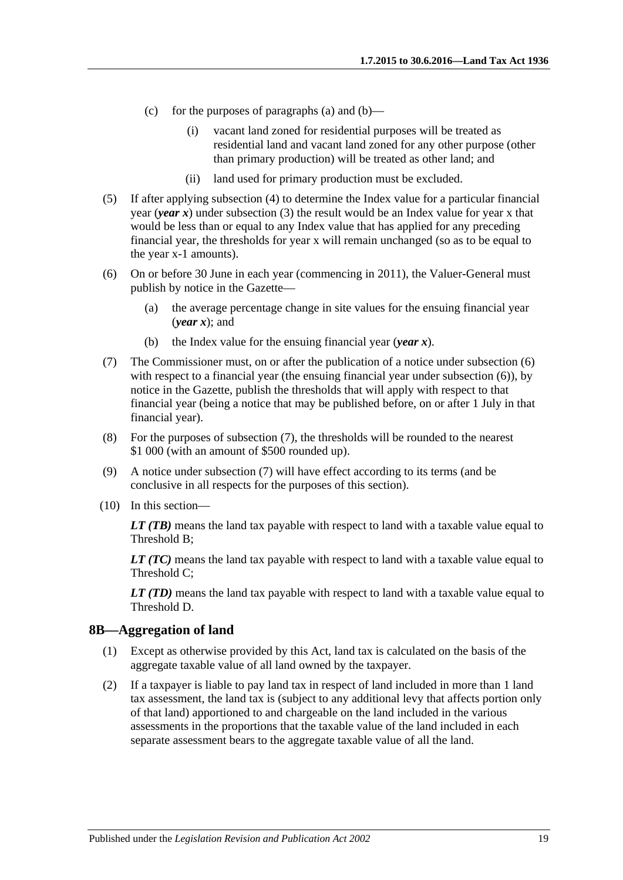- (c) for the purposes of [paragraphs](#page-17-3) (a) and  $(b)$ 
	- (i) vacant land zoned for residential purposes will be treated as residential land and vacant land zoned for any other purpose (other than primary production) will be treated as other land; and
	- (ii) land used for primary production must be excluded.
- (5) If after applying [subsection](#page-17-1) (4) to determine the Index value for a particular financial year (*year x*) under [subsection](#page-17-2) (3) the result would be an Index value for year x that would be less than or equal to any Index value that has applied for any preceding financial year, the thresholds for year x will remain unchanged (so as to be equal to the year x-1 amounts).
- <span id="page-18-1"></span>(6) On or before 30 June in each year (commencing in 2011), the Valuer-General must publish by notice in the Gazette—
	- (a) the average percentage change in site values for the ensuing financial year (*year x*); and
	- (b) the Index value for the ensuing financial year (*year x*).
- <span id="page-18-2"></span>(7) The Commissioner must, on or after the publication of a notice under [subsection](#page-18-1) (6) with respect to a financial year (the ensuing financial year under [subsection](#page-18-1)  $(6)$ ), by notice in the Gazette, publish the thresholds that will apply with respect to that financial year (being a notice that may be published before, on or after 1 July in that financial year).
- (8) For the purposes of [subsection](#page-18-2) (7), the thresholds will be rounded to the nearest \$1,000 (with an amount of \$500 rounded up).
- (9) A notice under [subsection](#page-18-2) (7) will have effect according to its terms (and be conclusive in all respects for the purposes of this section).
- (10) In this section—

*LT (TB)* means the land tax payable with respect to land with a taxable value equal to Threshold B;

*LT (TC)* means the land tax payable with respect to land with a taxable value equal to Threshold C;

*LT (TD)* means the land tax payable with respect to land with a taxable value equal to Threshold D.

#### <span id="page-18-0"></span>**8B—Aggregation of land**

- (1) Except as otherwise provided by this Act, land tax is calculated on the basis of the aggregate taxable value of all land owned by the taxpayer.
- (2) If a taxpayer is liable to pay land tax in respect of land included in more than 1 land tax assessment, the land tax is (subject to any additional levy that affects portion only of that land) apportioned to and chargeable on the land included in the various assessments in the proportions that the taxable value of the land included in each separate assessment bears to the aggregate taxable value of all the land.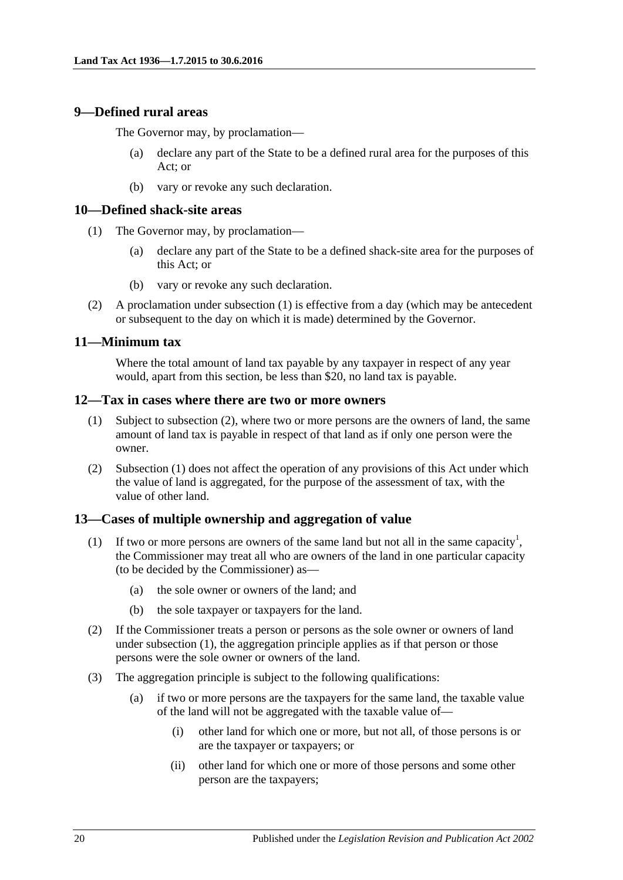#### <span id="page-19-0"></span>**9—Defined rural areas**

The Governor may, by proclamation—

- (a) declare any part of the State to be a defined rural area for the purposes of this Act; or
- (b) vary or revoke any such declaration.

#### <span id="page-19-5"></span><span id="page-19-1"></span>**10—Defined shack-site areas**

- (1) The Governor may, by proclamation—
	- (a) declare any part of the State to be a defined shack-site area for the purposes of this Act; or
	- (b) vary or revoke any such declaration.
- (2) A proclamation under [subsection](#page-19-5) (1) is effective from a day (which may be antecedent or subsequent to the day on which it is made) determined by the Governor.

#### <span id="page-19-2"></span>**11—Minimum tax**

Where the total amount of land tax payable by any taxpayer in respect of any year would, apart from this section, be less than \$20, no land tax is payable.

#### <span id="page-19-7"></span><span id="page-19-3"></span>**12—Tax in cases where there are two or more owners**

- (1) Subject to [subsection](#page-19-6) (2), where two or more persons are the owners of land, the same amount of land tax is payable in respect of that land as if only one person were the owner.
- <span id="page-19-6"></span>(2) [Subsection](#page-19-7) (1) does not affect the operation of any provisions of this Act under which the value of land is aggregated, for the purpose of the assessment of tax, with the value of other land.

#### <span id="page-19-8"></span><span id="page-19-4"></span>**13—Cases of multiple ownership and aggregation of value**

- (1) If two or more persons are owners of the same land but not all in the same capacity<sup>1</sup>, the Commissioner may treat all who are owners of the land in one particular capacity (to be decided by the Commissioner) as—
	- (a) the sole owner or owners of the land; and
	- (b) the sole taxpayer or taxpayers for the land.
- (2) If the Commissioner treats a person or persons as the sole owner or owners of land under [subsection](#page-19-8) (1), the aggregation principle applies as if that person or those persons were the sole owner or owners of the land.
- (3) The aggregation principle is subject to the following qualifications:
	- (a) if two or more persons are the taxpayers for the same land, the taxable value of the land will not be aggregated with the taxable value of—
		- (i) other land for which one or more, but not all, of those persons is or are the taxpayer or taxpayers; or
		- (ii) other land for which one or more of those persons and some other person are the taxpayers;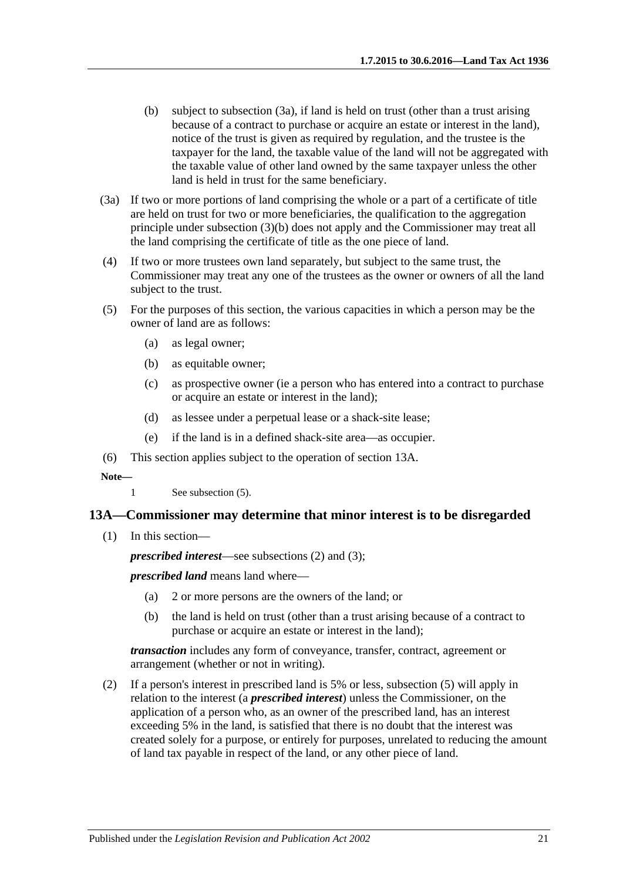- <span id="page-20-2"></span>(b) subject to [subsection](#page-20-1) (3a), if land is held on trust (other than a trust arising because of a contract to purchase or acquire an estate or interest in the land), notice of the trust is given as required by regulation, and the trustee is the taxpayer for the land, the taxable value of the land will not be aggregated with the taxable value of other land owned by the same taxpayer unless the other land is held in trust for the same beneficiary.
- <span id="page-20-1"></span>(3a) If two or more portions of land comprising the whole or a part of a certificate of title are held on trust for two or more beneficiaries, the qualification to the aggregation principle under [subsection](#page-20-2) (3)(b) does not apply and the Commissioner may treat all the land comprising the certificate of title as the one piece of land.
- (4) If two or more trustees own land separately, but subject to the same trust, the Commissioner may treat any one of the trustees as the owner or owners of all the land subject to the trust.
- <span id="page-20-3"></span>(5) For the purposes of this section, the various capacities in which a person may be the owner of land are as follows:
	- (a) as legal owner;
	- (b) as equitable owner;
	- (c) as prospective owner (ie a person who has entered into a contract to purchase or acquire an estate or interest in the land);
	- (d) as lessee under a perpetual lease or a shack-site lease;
	- (e) if the land is in a defined shack-site area—as occupier.
- (6) This section applies subject to the operation of [section](#page-20-0) 13A.

**Note—**

1 See [subsection](#page-20-3) (5).

#### <span id="page-20-0"></span>**13A—Commissioner may determine that minor interest is to be disregarded**

(1) In this section—

*prescribed interest*—see [subsections](#page-20-4) (2) and [\(3\);](#page-21-0)

*prescribed land* means land where—

- (a) 2 or more persons are the owners of the land; or
- (b) the land is held on trust (other than a trust arising because of a contract to purchase or acquire an estate or interest in the land);

*transaction* includes any form of conveyance, transfer, contract, agreement or arrangement (whether or not in writing).

<span id="page-20-4"></span>(2) If a person's interest in prescribed land is 5% or less, [subsection](#page-21-1) (5) will apply in relation to the interest (a *prescribed interest*) unless the Commissioner, on the application of a person who, as an owner of the prescribed land, has an interest exceeding 5% in the land, is satisfied that there is no doubt that the interest was created solely for a purpose, or entirely for purposes, unrelated to reducing the amount of land tax payable in respect of the land, or any other piece of land.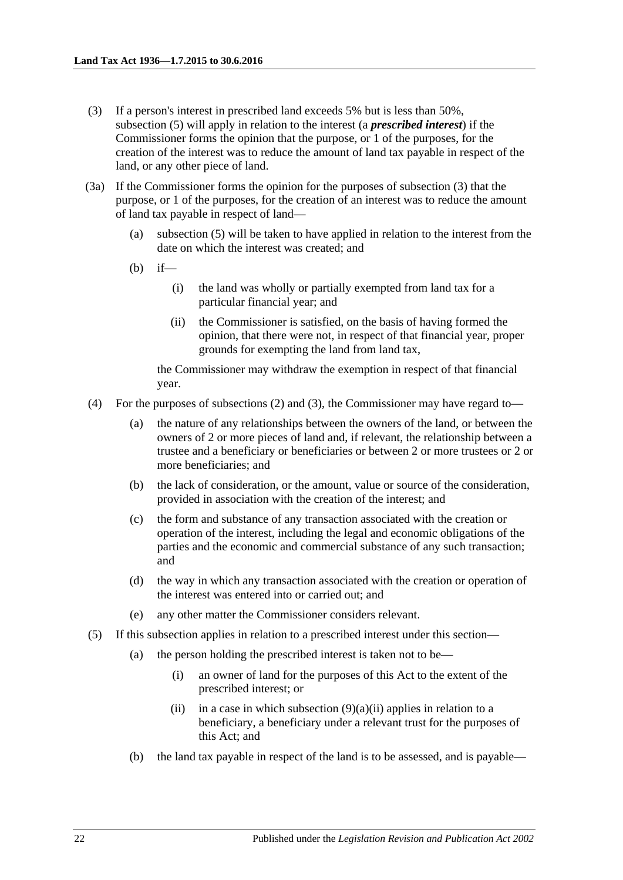- <span id="page-21-0"></span>(3) If a person's interest in prescribed land exceeds 5% but is less than 50%, [subsection](#page-21-1) (5) will apply in relation to the interest (a *prescribed interest*) if the Commissioner forms the opinion that the purpose, or 1 of the purposes, for the creation of the interest was to reduce the amount of land tax payable in respect of the land, or any other piece of land.
- (3a) If the Commissioner forms the opinion for the purposes of [subsection](#page-21-0) (3) that the purpose, or 1 of the purposes, for the creation of an interest was to reduce the amount of land tax payable in respect of land—
	- (a) [subsection](#page-21-1) (5) will be taken to have applied in relation to the interest from the date on which the interest was created; and
	- $(b)$  if—
		- (i) the land was wholly or partially exempted from land tax for a particular financial year; and
		- (ii) the Commissioner is satisfied, on the basis of having formed the opinion, that there were not, in respect of that financial year, proper grounds for exempting the land from land tax,

the Commissioner may withdraw the exemption in respect of that financial year.

- (4) For the purposes of [subsections](#page-20-4) (2) and [\(3\),](#page-21-0) the Commissioner may have regard to—
	- (a) the nature of any relationships between the owners of the land, or between the owners of 2 or more pieces of land and, if relevant, the relationship between a trustee and a beneficiary or beneficiaries or between 2 or more trustees or 2 or more beneficiaries; and
	- (b) the lack of consideration, or the amount, value or source of the consideration, provided in association with the creation of the interest; and
	- (c) the form and substance of any transaction associated with the creation or operation of the interest, including the legal and economic obligations of the parties and the economic and commercial substance of any such transaction; and
	- (d) the way in which any transaction associated with the creation or operation of the interest was entered into or carried out; and
	- (e) any other matter the Commissioner considers relevant.
- <span id="page-21-1"></span>(5) If this subsection applies in relation to a prescribed interest under this section—
	- (a) the person holding the prescribed interest is taken not to be—
		- (i) an owner of land for the purposes of this Act to the extent of the prescribed interest; or
		- (ii) in a case in which [subsection](#page-22-1)  $(9)(a)(ii)$  applies in relation to a beneficiary, a beneficiary under a relevant trust for the purposes of this Act; and
	- (b) the land tax payable in respect of the land is to be assessed, and is payable—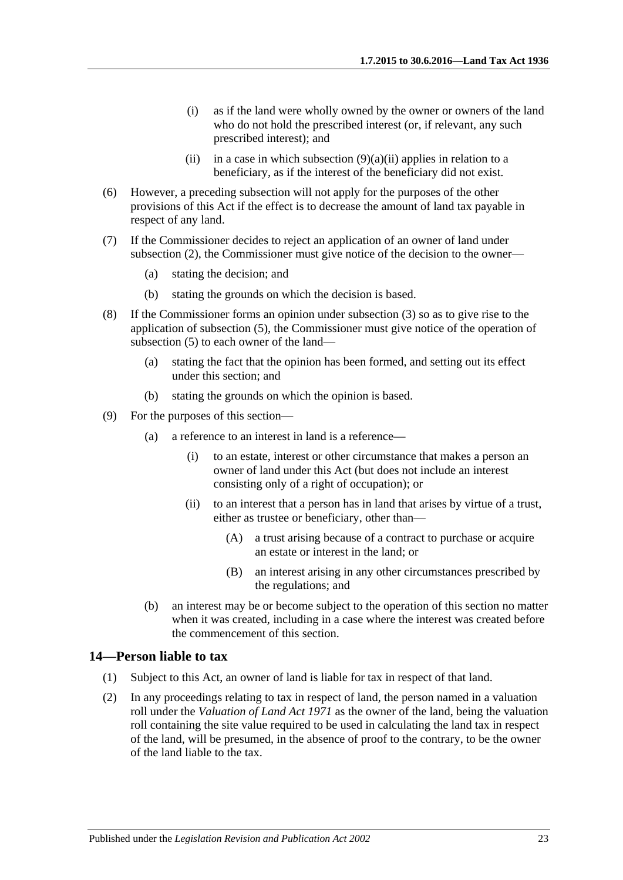- (i) as if the land were wholly owned by the owner or owners of the land who do not hold the prescribed interest (or, if relevant, any such prescribed interest); and
- (ii) in a case in which [subsection](#page-22-1)  $(9)(a)(ii)$  applies in relation to a beneficiary, as if the interest of the beneficiary did not exist.
- (6) However, a preceding subsection will not apply for the purposes of the other provisions of this Act if the effect is to decrease the amount of land tax payable in respect of any land.
- (7) If the Commissioner decides to reject an application of an owner of land under [subsection](#page-20-4) (2), the Commissioner must give notice of the decision to the owner—
	- (a) stating the decision; and
	- (b) stating the grounds on which the decision is based.
- (8) If the Commissioner forms an opinion under [subsection](#page-21-0) (3) so as to give rise to the application of [subsection](#page-21-1) (5), the Commissioner must give notice of the operation of [subsection](#page-21-1) (5) to each owner of the land—
	- (a) stating the fact that the opinion has been formed, and setting out its effect under this section; and
	- (b) stating the grounds on which the opinion is based.
- <span id="page-22-1"></span>(9) For the purposes of this section—
	- (a) a reference to an interest in land is a reference—
		- (i) to an estate, interest or other circumstance that makes a person an owner of land under this Act (but does not include an interest consisting only of a right of occupation); or
		- (ii) to an interest that a person has in land that arises by virtue of a trust, either as trustee or beneficiary, other than—
			- (A) a trust arising because of a contract to purchase or acquire an estate or interest in the land; or
			- (B) an interest arising in any other circumstances prescribed by the regulations; and
	- (b) an interest may be or become subject to the operation of this section no matter when it was created, including in a case where the interest was created before the commencement of this section.

#### <span id="page-22-0"></span>**14—Person liable to tax**

- (1) Subject to this Act, an owner of land is liable for tax in respect of that land.
- (2) In any proceedings relating to tax in respect of land, the person named in a valuation roll under the *[Valuation of Land Act](http://www.legislation.sa.gov.au/index.aspx?action=legref&type=act&legtitle=Valuation%20of%20Land%20Act%201971) 1971* as the owner of the land, being the valuation roll containing the site value required to be used in calculating the land tax in respect of the land, will be presumed, in the absence of proof to the contrary, to be the owner of the land liable to the tax.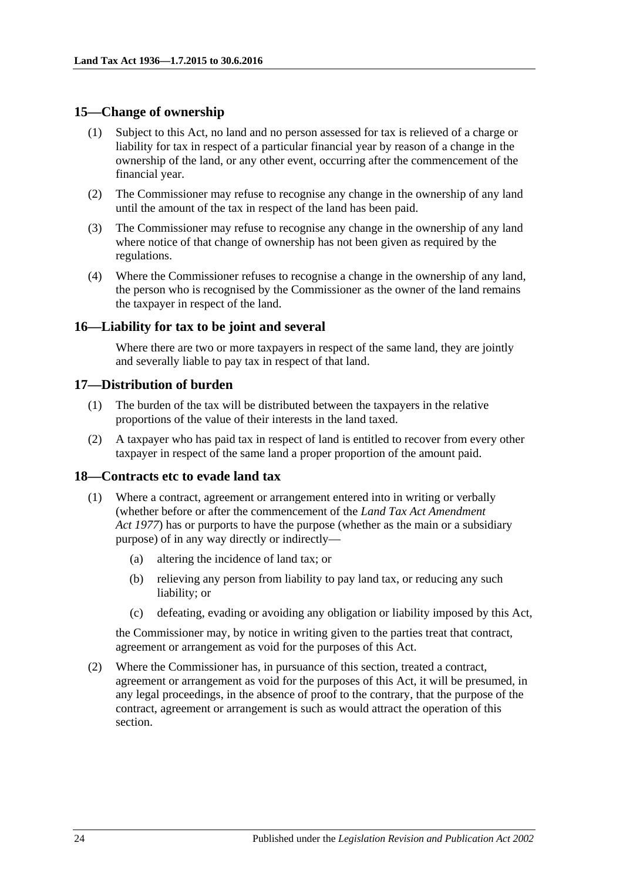#### <span id="page-23-0"></span>**15—Change of ownership**

- (1) Subject to this Act, no land and no person assessed for tax is relieved of a charge or liability for tax in respect of a particular financial year by reason of a change in the ownership of the land, or any other event, occurring after the commencement of the financial year.
- (2) The Commissioner may refuse to recognise any change in the ownership of any land until the amount of the tax in respect of the land has been paid.
- (3) The Commissioner may refuse to recognise any change in the ownership of any land where notice of that change of ownership has not been given as required by the regulations.
- (4) Where the Commissioner refuses to recognise a change in the ownership of any land, the person who is recognised by the Commissioner as the owner of the land remains the taxpayer in respect of the land.

#### <span id="page-23-1"></span>**16—Liability for tax to be joint and several**

Where there are two or more taxpayers in respect of the same land, they are jointly and severally liable to pay tax in respect of that land.

#### <span id="page-23-2"></span>**17—Distribution of burden**

- (1) The burden of the tax will be distributed between the taxpayers in the relative proportions of the value of their interests in the land taxed.
- (2) A taxpayer who has paid tax in respect of land is entitled to recover from every other taxpayer in respect of the same land a proper proportion of the amount paid.

#### <span id="page-23-3"></span>**18—Contracts etc to evade land tax**

- (1) Where a contract, agreement or arrangement entered into in writing or verbally (whether before or after the commencement of the *Land Tax Act Amendment Act 1977*) has or purports to have the purpose (whether as the main or a subsidiary purpose) of in any way directly or indirectly—
	- (a) altering the incidence of land tax; or
	- (b) relieving any person from liability to pay land tax, or reducing any such liability; or
	- (c) defeating, evading or avoiding any obligation or liability imposed by this Act,

the Commissioner may, by notice in writing given to the parties treat that contract, agreement or arrangement as void for the purposes of this Act.

(2) Where the Commissioner has, in pursuance of this section, treated a contract, agreement or arrangement as void for the purposes of this Act, it will be presumed, in any legal proceedings, in the absence of proof to the contrary, that the purpose of the contract, agreement or arrangement is such as would attract the operation of this section.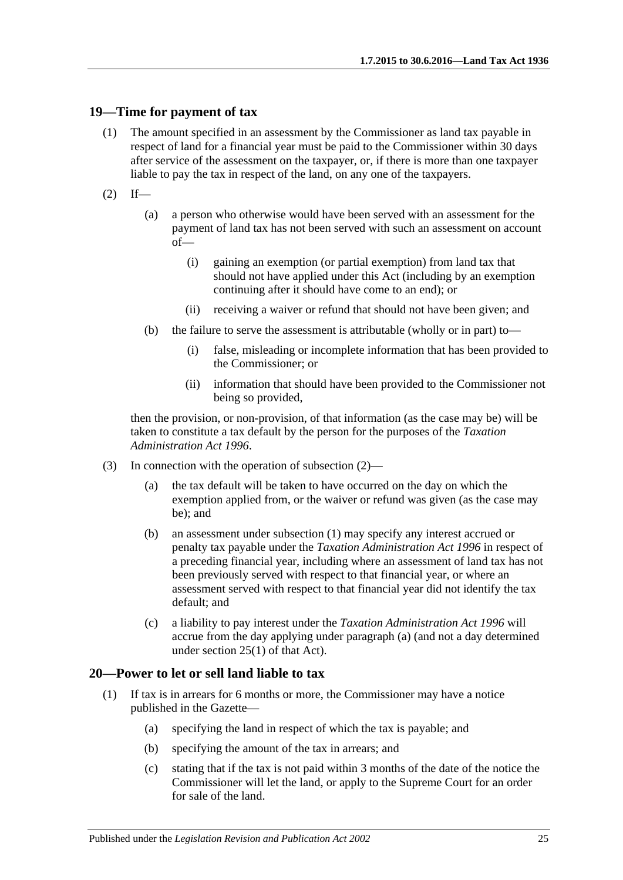#### <span id="page-24-2"></span><span id="page-24-0"></span>**19—Time for payment of tax**

- (1) The amount specified in an assessment by the Commissioner as land tax payable in respect of land for a financial year must be paid to the Commissioner within 30 days after service of the assessment on the taxpayer, or, if there is more than one taxpayer liable to pay the tax in respect of the land, on any one of the taxpayers.
- $(2)$  If—
	- (a) a person who otherwise would have been served with an assessment for the payment of land tax has not been served with such an assessment on account of—
		- (i) gaining an exemption (or partial exemption) from land tax that should not have applied under this Act (including by an exemption continuing after it should have come to an end); or
		- (ii) receiving a waiver or refund that should not have been given; and
	- (b) the failure to serve the assessment is attributable (wholly or in part) to—
		- (i) false, misleading or incomplete information that has been provided to the Commissioner; or
		- (ii) information that should have been provided to the Commissioner not being so provided,

then the provision, or non-provision, of that information (as the case may be) will be taken to constitute a tax default by the person for the purposes of the *[Taxation](http://www.legislation.sa.gov.au/index.aspx?action=legref&type=act&legtitle=Taxation%20Administration%20Act%201996)  [Administration Act](http://www.legislation.sa.gov.au/index.aspx?action=legref&type=act&legtitle=Taxation%20Administration%20Act%201996) 1996*.

- <span id="page-24-3"></span>(3) In connection with the operation of subsection (2)—
	- (a) the tax default will be taken to have occurred on the day on which the exemption applied from, or the waiver or refund was given (as the case may be); and
	- (b) an assessment under [subsection](#page-24-2) (1) may specify any interest accrued or penalty tax payable under the *[Taxation Administration Act](http://www.legislation.sa.gov.au/index.aspx?action=legref&type=act&legtitle=Taxation%20Administration%20Act%201996) 1996* in respect of a preceding financial year, including where an assessment of land tax has not been previously served with respect to that financial year, or where an assessment served with respect to that financial year did not identify the tax default; and
	- (c) a liability to pay interest under the *[Taxation Administration Act](http://www.legislation.sa.gov.au/index.aspx?action=legref&type=act&legtitle=Taxation%20Administration%20Act%201996) 1996* will accrue from the day applying under [paragraph](#page-24-3) (a) (and not a day determined under section 25(1) of that Act).

#### <span id="page-24-4"></span><span id="page-24-1"></span>**20—Power to let or sell land liable to tax**

- (1) If tax is in arrears for 6 months or more, the Commissioner may have a notice published in the Gazette—
	- (a) specifying the land in respect of which the tax is payable; and
	- (b) specifying the amount of the tax in arrears; and
	- (c) stating that if the tax is not paid within 3 months of the date of the notice the Commissioner will let the land, or apply to the Supreme Court for an order for sale of the land.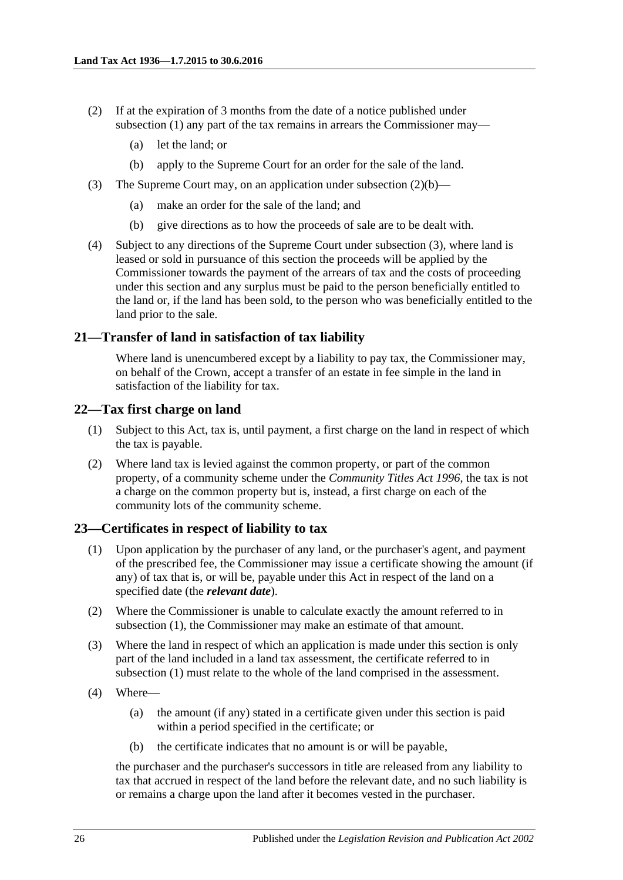- (2) If at the expiration of 3 months from the date of a notice published under [subsection](#page-24-4) (1) any part of the tax remains in arrears the Commissioner may—
	- (a) let the land; or
	- (b) apply to the Supreme Court for an order for the sale of the land.
- <span id="page-25-4"></span><span id="page-25-3"></span>(3) The Supreme Court may, on an application under [subsection](#page-25-3) (2)(b)—
	- (a) make an order for the sale of the land; and
	- (b) give directions as to how the proceeds of sale are to be dealt with.
- (4) Subject to any directions of the Supreme Court under [subsection](#page-25-4) (3), where land is leased or sold in pursuance of this section the proceeds will be applied by the Commissioner towards the payment of the arrears of tax and the costs of proceeding under this section and any surplus must be paid to the person beneficially entitled to the land or, if the land has been sold, to the person who was beneficially entitled to the land prior to the sale.

#### <span id="page-25-0"></span>**21—Transfer of land in satisfaction of tax liability**

Where land is unencumbered except by a liability to pay tax, the Commissioner may, on behalf of the Crown, accept a transfer of an estate in fee simple in the land in satisfaction of the liability for tax.

#### <span id="page-25-1"></span>**22—Tax first charge on land**

- (1) Subject to this Act, tax is, until payment, a first charge on the land in respect of which the tax is payable.
- (2) Where land tax is levied against the common property, or part of the common property, of a community scheme under the *[Community Titles Act](http://www.legislation.sa.gov.au/index.aspx?action=legref&type=act&legtitle=Community%20Titles%20Act%201996) 1996*, the tax is not a charge on the common property but is, instead, a first charge on each of the community lots of the community scheme.

#### <span id="page-25-5"></span><span id="page-25-2"></span>**23—Certificates in respect of liability to tax**

- (1) Upon application by the purchaser of any land, or the purchaser's agent, and payment of the prescribed fee, the Commissioner may issue a certificate showing the amount (if any) of tax that is, or will be, payable under this Act in respect of the land on a specified date (the *relevant date*).
- (2) Where the Commissioner is unable to calculate exactly the amount referred to in [subsection](#page-25-5) (1), the Commissioner may make an estimate of that amount.
- (3) Where the land in respect of which an application is made under this section is only part of the land included in a land tax assessment, the certificate referred to in [subsection](#page-25-5) (1) must relate to the whole of the land comprised in the assessment.
- (4) Where—
	- (a) the amount (if any) stated in a certificate given under this section is paid within a period specified in the certificate; or
	- (b) the certificate indicates that no amount is or will be payable,

the purchaser and the purchaser's successors in title are released from any liability to tax that accrued in respect of the land before the relevant date, and no such liability is or remains a charge upon the land after it becomes vested in the purchaser.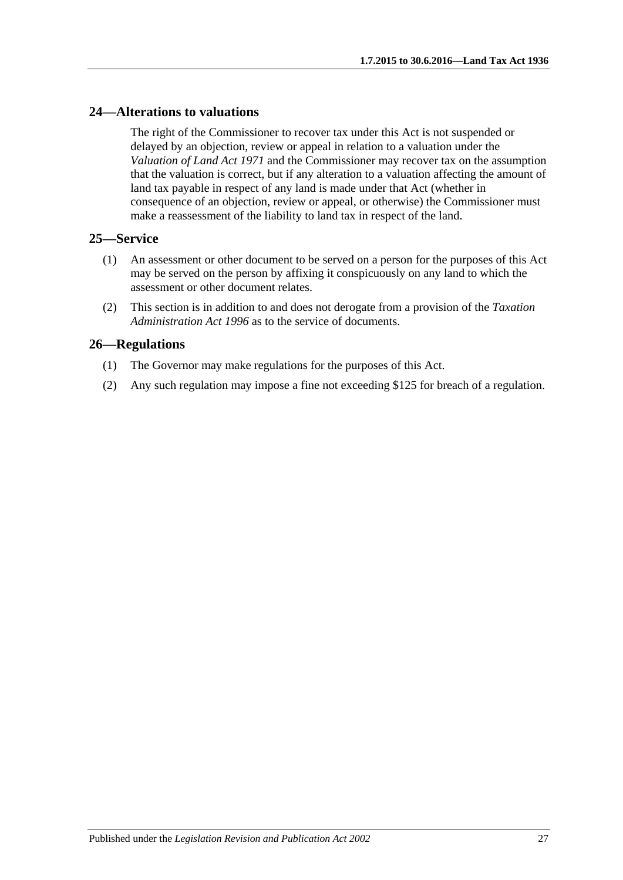#### <span id="page-26-0"></span>**24—Alterations to valuations**

The right of the Commissioner to recover tax under this Act is not suspended or delayed by an objection, review or appeal in relation to a valuation under the *[Valuation of Land Act](http://www.legislation.sa.gov.au/index.aspx?action=legref&type=act&legtitle=Valuation%20of%20Land%20Act%201971) 1971* and the Commissioner may recover tax on the assumption that the valuation is correct, but if any alteration to a valuation affecting the amount of land tax payable in respect of any land is made under that Act (whether in consequence of an objection, review or appeal, or otherwise) the Commissioner must make a reassessment of the liability to land tax in respect of the land.

#### <span id="page-26-1"></span>**25—Service**

- (1) An assessment or other document to be served on a person for the purposes of this Act may be served on the person by affixing it conspicuously on any land to which the assessment or other document relates.
- (2) This section is in addition to and does not derogate from a provision of the *[Taxation](http://www.legislation.sa.gov.au/index.aspx?action=legref&type=act&legtitle=Taxation%20Administration%20Act%201996)  [Administration Act](http://www.legislation.sa.gov.au/index.aspx?action=legref&type=act&legtitle=Taxation%20Administration%20Act%201996) 1996* as to the service of documents.

#### <span id="page-26-2"></span>**26—Regulations**

- (1) The Governor may make regulations for the purposes of this Act.
- (2) Any such regulation may impose a fine not exceeding \$125 for breach of a regulation.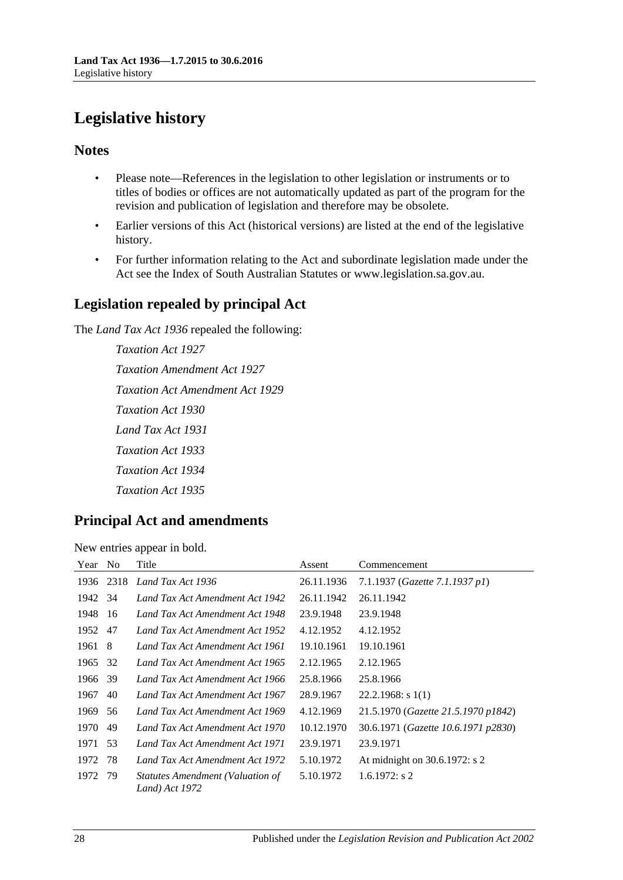## <span id="page-27-0"></span>**Legislative history**

## **Notes**

- Please note—References in the legislation to other legislation or instruments or to titles of bodies or offices are not automatically updated as part of the program for the revision and publication of legislation and therefore may be obsolete.
- Earlier versions of this Act (historical versions) are listed at the end of the legislative history.
- For further information relating to the Act and subordinate legislation made under the Act see the Index of South Australian Statutes or www.legislation.sa.gov.au.

## **Legislation repealed by principal Act**

The *Land Tax Act 1936* repealed the following:

*Taxation Act 1927 Taxation Amendment Act 1927 Taxation Act Amendment Act 1929 Taxation Act 1930 Land Tax Act 1931 Taxation Act 1933 Taxation Act 1934 Taxation Act 1935*

## **Principal Act and amendments**

New entries appear in bold.

| Year | N <sub>o</sub> | Title                                              | Assent     | Commencement                            |
|------|----------------|----------------------------------------------------|------------|-----------------------------------------|
| 1936 | 2318           | Land Tax Act 1936                                  | 26.11.1936 | 7.1.1937 ( <i>Gazette 7.1.1937 p1</i> ) |
| 1942 | -34            | Land Tax Act Amendment Act 1942                    | 26.11.1942 | 26.11.1942                              |
| 1948 | -16            | Land Tax Act Amendment Act 1948                    | 23.9.1948  | 23.9.1948                               |
| 1952 | 47             | Land Tax Act Amendment Act 1952                    | 4.12.1952  | 4.12.1952                               |
| 1961 | -8             | Land Tax Act Amendment Act 1961                    | 19.10.1961 | 19.10.1961                              |
| 1965 | 32             | Land Tax Act Amendment Act 1965                    | 2.12.1965  | 2.12.1965                               |
| 1966 | 39             | Land Tax Act Amendment Act 1966                    | 25.8.1966  | 25.8.1966                               |
| 1967 | 40             | Land Tax Act Amendment Act 1967                    | 28.9.1967  | $22.2.1968$ : s 1(1)                    |
| 1969 | 56             | Land Tax Act Amendment Act 1969                    | 4.12.1969  | 21.5.1970 (Gazette 21.5.1970 p1842)     |
| 1970 | 49             | Land Tax Act Amendment Act 1970                    | 10.12.1970 | 30.6.1971 (Gazette 10.6.1971 p2830)     |
| 1971 | 53             | Land Tax Act Amendment Act 1971                    | 23.9.1971  | 23.9.1971                               |
| 1972 | 78             | Land Tax Act Amendment Act 1972                    | 5.10.1972  | At midnight on 30.6.1972: s 2           |
| 1972 | 79             | Statutes Amendment (Valuation of<br>Land) Act 1972 | 5.10.1972  | $1.6.1972$ : s 2                        |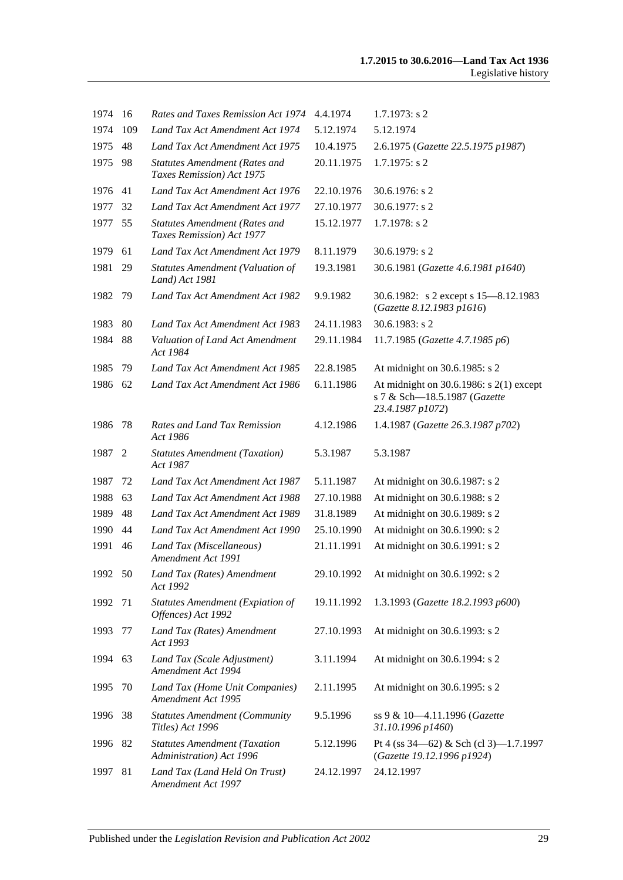| 1974    | 16  | Rates and Taxes Remission Act 1974                                | 4.4.1974   | $1.7.1973$ : s 2                                                                                 |
|---------|-----|-------------------------------------------------------------------|------------|--------------------------------------------------------------------------------------------------|
| 1974    | 109 | Land Tax Act Amendment Act 1974                                   | 5.12.1974  | 5.12.1974                                                                                        |
| 1975    | 48  | Land Tax Act Amendment Act 1975                                   | 10.4.1975  | 2.6.1975 (Gazette 22.5.1975 p1987)                                                               |
| 1975    | 98  | <b>Statutes Amendment (Rates and</b><br>Taxes Remission) Act 1975 | 20.11.1975 | 1.7.1975: s 2                                                                                    |
| 1976    | 41  | Land Tax Act Amendment Act 1976                                   | 22.10.1976 | 30.6.1976: s 2                                                                                   |
| 1977    | 32  | Land Tax Act Amendment Act 1977                                   | 27.10.1977 | $30.6.1977$ : s 2                                                                                |
| 1977    | 55  | <b>Statutes Amendment (Rates and</b><br>Taxes Remission) Act 1977 | 15.12.1977 | $1.7.1978$ : s 2                                                                                 |
| 1979    | 61  | Land Tax Act Amendment Act 1979                                   | 8.11.1979  | $30.6.1979$ : s 2                                                                                |
| 1981    | 29  | Statutes Amendment (Valuation of<br>Land) Act 1981                | 19.3.1981  | 30.6.1981 (Gazette 4.6.1981 p1640)                                                               |
| 1982    | 79  | Land Tax Act Amendment Act 1982                                   | 9.9.1982   | 30.6.1982: s 2 except s 15-8.12.1983<br>(Gazette 8.12.1983 p1616)                                |
| 1983    | 80  | Land Tax Act Amendment Act 1983                                   | 24.11.1983 | $30.6.1983$ : s 2                                                                                |
| 1984    | 88  | Valuation of Land Act Amendment<br>Act 1984                       | 29.11.1984 | 11.7.1985 (Gazette 4.7.1985 p6)                                                                  |
| 1985    | 79  | Land Tax Act Amendment Act 1985                                   | 22.8.1985  | At midnight on 30.6.1985: s 2                                                                    |
| 1986    | 62  | Land Tax Act Amendment Act 1986                                   | 6.11.1986  | At midnight on $30.6.1986$ : s $2(1)$ except<br>s 7 & Sch-18.5.1987 (Gazette<br>23.4.1987 p1072) |
| 1986    | 78  | Rates and Land Tax Remission<br>Act 1986                          | 4.12.1986  | 1.4.1987 (Gazette 26.3.1987 p702)                                                                |
| 1987    | 2   | <b>Statutes Amendment (Taxation)</b><br>Act 1987                  | 5.3.1987   | 5.3.1987                                                                                         |
| 1987    | 72  | Land Tax Act Amendment Act 1987                                   | 5.11.1987  | At midnight on 30.6.1987: s 2                                                                    |
| 1988    | 63  | Land Tax Act Amendment Act 1988                                   | 27.10.1988 | At midnight on 30.6.1988: s 2                                                                    |
| 1989    | 48  | Land Tax Act Amendment Act 1989                                   | 31.8.1989  | At midnight on 30.6.1989: s 2                                                                    |
| 1990    | 44  | Land Tax Act Amendment Act 1990                                   | 25.10.1990 | At midnight on 30.6.1990: s 2                                                                    |
| 1991    | 46  | Land Tax (Miscellaneous)<br>Amendment Act 1991                    | 21.11.1991 | At midnight on 30.6.1991: s 2                                                                    |
| 1992 50 |     | Land Tax (Rates) Amendment<br>Act 1992                            |            | 29.10.1992 At midnight on 30.6.1992: s 2                                                         |
| 1992    | 71  | <b>Statutes Amendment (Expiation of</b><br>Offences) Act 1992     | 19.11.1992 | 1.3.1993 (Gazette 18.2.1993 p600)                                                                |
| 1993    | 77  | Land Tax (Rates) Amendment<br>Act 1993                            | 27.10.1993 | At midnight on 30.6.1993: s 2                                                                    |
| 1994    | 63  | Land Tax (Scale Adjustment)<br>Amendment Act 1994                 | 3.11.1994  | At midnight on 30.6.1994: s 2                                                                    |
| 1995    | 70  | Land Tax (Home Unit Companies)<br>Amendment Act 1995              | 2.11.1995  | At midnight on 30.6.1995: s 2                                                                    |
| 1996    | 38  | <b>Statutes Amendment (Community</b><br>Titles) Act 1996          | 9.5.1996   | ss 9 & 10-4.11.1996 (Gazette<br>31.10.1996 p1460)                                                |
| 1996    | 82  | <b>Statutes Amendment (Taxation</b><br>Administration) Act 1996   | 5.12.1996  | Pt 4 (ss $34-62$ ) & Sch (cl 3)-1.7.1997<br>(Gazette 19.12.1996 p1924)                           |
| 1997    | 81  | Land Tax (Land Held On Trust)<br>Amendment Act 1997               | 24.12.1997 | 24.12.1997                                                                                       |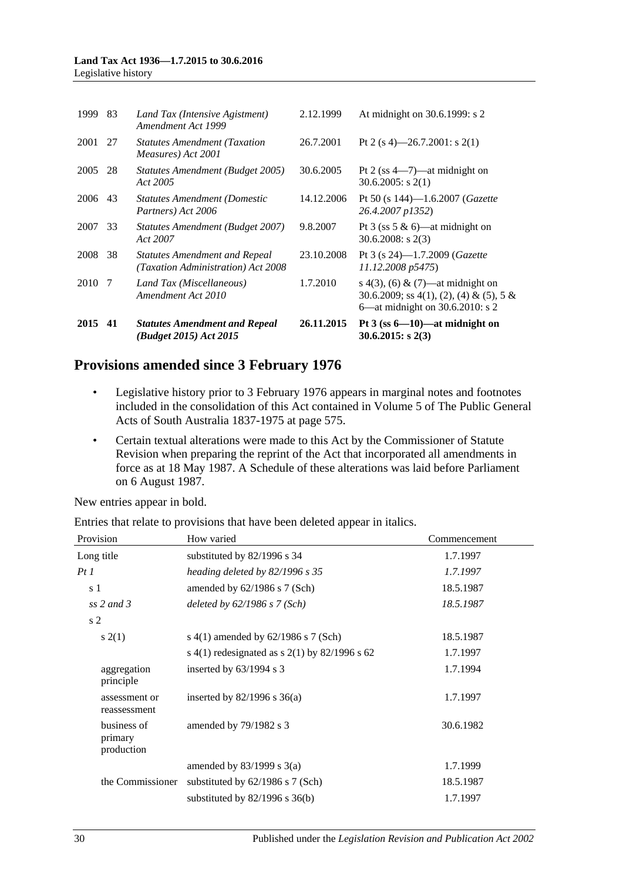#### **Land Tax Act 1936—1.7.2015 to 30.6.2016** Legislative history

| 2015 | 41  | <b>Statutes Amendment and Repeal</b><br>(Budget 2015) Act 2015             | 26.11.2015 | Pt $3$ (ss $6-10$ )—at midnight on<br>$30.6.2015$ : s 2(3)                                                     |
|------|-----|----------------------------------------------------------------------------|------------|----------------------------------------------------------------------------------------------------------------|
| 2010 | - 7 | Land Tax (Miscellaneous)<br>Amendment Act 2010                             | 1.7.2010   | s 4(3), (6) & (7)—at midnight on<br>30.6.2009; ss 4(1), (2), (4) & (5), 5 &<br>6—at midnight on 30.6.2010: s 2 |
| 2008 | 38  | <b>Statutes Amendment and Repeal</b><br>(Taxation Administration) Act 2008 | 23.10.2008 | Pt 3 (s $24$ )—1.7.2009 ( <i>Gazette</i><br>11.12.2008 p5475)                                                  |
| 2007 | 33  | Statutes Amendment (Budget 2007)<br>Act 2007                               | 9.8.2007   | Pt 3 (ss $5 \& 6$ )—at midnight on<br>$30.6.2008$ : s $2(3)$                                                   |
| 2006 | 43  | <b>Statutes Amendment (Domestic</b><br>Partners) Act 2006                  | 14.12.2006 | Pt 50 (s $144$ )-1.6.2007 ( <i>Gazette</i><br>26.4.2007 p1352)                                                 |
| 2005 | 28  | Statutes Amendment (Budget 2005)<br>Act 2005                               | 30.6.2005  | Pt 2 (ss $4-7$ )—at midnight on<br>$30.6.2005$ : s 2(1)                                                        |
| 2001 | 27  | <b>Statutes Amendment (Taxation</b><br>Measures) Act 2001                  | 26.7.2001  | Pt 2 (s 4)—26.7.2001: s 2(1)                                                                                   |
| 1999 | 83  | Land Tax (Intensive Agistment)<br>Amendment Act 1999                       | 2.12.1999  | At midnight on 30.6.1999: s 2                                                                                  |
|      |     |                                                                            |            |                                                                                                                |

## **Provisions amended since 3 February 1976**

- Legislative history prior to 3 February 1976 appears in marginal notes and footnotes included in the consolidation of this Act contained in Volume 5 of The Public General Acts of South Australia 1837-1975 at page 575.
- Certain textual alterations were made to this Act by the Commissioner of Statute Revision when preparing the reprint of the Act that incorporated all amendments in force as at 18 May 1987. A Schedule of these alterations was laid before Parliament on 6 August 1987.

New entries appear in bold.

Entries that relate to provisions that have been deleted appear in italics.

| Provision                            | How varied                                    | Commencement |
|--------------------------------------|-----------------------------------------------|--------------|
| Long title                           | substituted by 82/1996 s 34                   | 1.7.1997     |
| PtI                                  | heading deleted by $82/1996$ s 35             | 1.7.1997     |
| s 1                                  | amended by $62/1986$ s 7 (Sch)                | 18.5.1987    |
| ss 2 and 3                           | deleted by $62/1986$ s $7(Sch)$               | 18.5.1987    |
| s <sub>2</sub>                       |                                               |              |
| s(2(1))                              | s 4(1) amended by $62/1986$ s 7 (Sch)         | 18.5.1987    |
|                                      | s 4(1) redesignated as s 2(1) by 82/1996 s 62 | 1.7.1997     |
| aggregation<br>principle             | inserted by $63/1994$ s 3                     | 1.7.1994     |
| assessment or<br>reassessment        | inserted by $82/1996$ s $36(a)$               | 1.7.1997     |
| business of<br>primary<br>production | amended by 79/1982 s 3                        | 30.6.1982    |
|                                      | amended by $83/1999$ s $3(a)$                 | 1.7.1999     |
| the Commissioner                     | substituted by 62/1986 s 7 (Sch)              | 18.5.1987    |
|                                      | substituted by $82/1996$ s $36(b)$            | 1.7.1997     |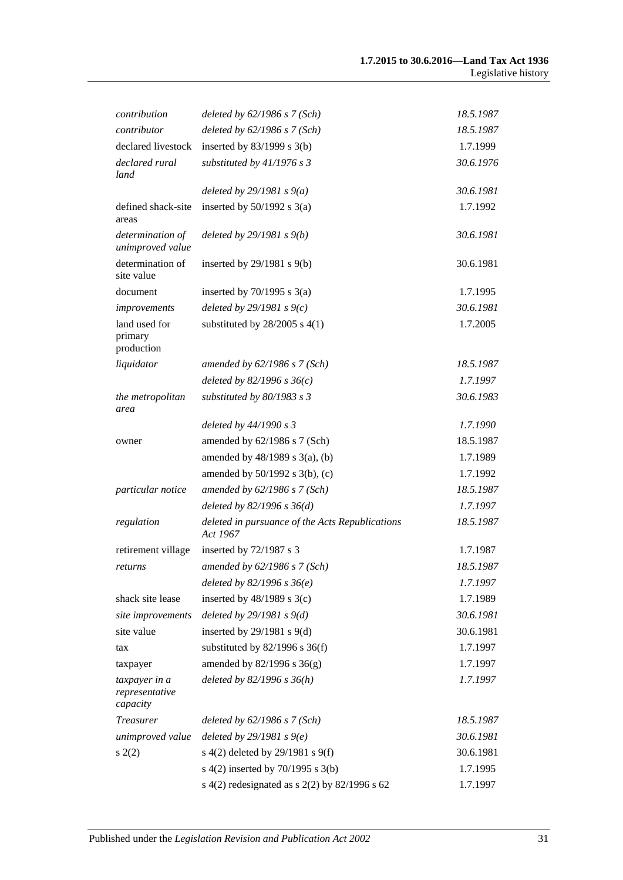| contribution                                | deleted by $62/1986$ s $7$ (Sch)                            | 18.5.1987 |
|---------------------------------------------|-------------------------------------------------------------|-----------|
| contributor                                 | deleted by $62/1986$ s $7$ (Sch)                            | 18.5.1987 |
| declared livestock                          | inserted by $83/1999$ s $3(b)$                              | 1.7.1999  |
| declared rural<br>land                      | substituted by 41/1976 s 3                                  | 30.6.1976 |
|                                             | deleted by $29/1981 s 9(a)$                                 | 30.6.1981 |
| defined shack-site<br>areas                 | inserted by $50/1992$ s $3(a)$                              | 1.7.1992  |
| determination of<br>unimproved value        | deleted by $29/1981 s 9(b)$                                 | 30.6.1981 |
| determination of<br>site value              | inserted by $29/1981$ s $9(b)$                              | 30.6.1981 |
| document                                    | inserted by $70/1995$ s $3(a)$                              | 1.7.1995  |
| improvements                                | deleted by $29/1981 s$ 9(c)                                 | 30.6.1981 |
| land used for<br>primary<br>production      | substituted by $28/2005$ s $4(1)$                           | 1.7.2005  |
| liquidator                                  | amended by $62/1986$ s $7$ (Sch)                            | 18.5.1987 |
|                                             | deleted by $82/1996 s 36(c)$                                | 1.7.1997  |
| the metropolitan<br>area                    | substituted by 80/1983 s 3                                  | 30.6.1983 |
|                                             | deleted by 44/1990 s 3                                      | 1.7.1990  |
| owner                                       | amended by $62/1986$ s 7 (Sch)                              | 18.5.1987 |
|                                             | amended by $48/1989$ s $3(a)$ , (b)                         | 1.7.1989  |
|                                             | amended by 50/1992 s 3(b), (c)                              | 1.7.1992  |
| particular notice                           | amended by $62/1986$ s $7$ (Sch)                            | 18.5.1987 |
|                                             | deleted by $82/1996 s 36(d)$                                | 1.7.1997  |
| regulation                                  | deleted in pursuance of the Acts Republications<br>Act 1967 | 18.5.1987 |
| retirement village                          | inserted by 72/1987 s 3                                     | 1.7.1987  |
| returns                                     | amended by $62/1986$ s $7$ (Sch)                            | 18.5.1987 |
|                                             | deleted by $82/1996 s 36(e)$                                | 1.7.1997  |
| shack site lease                            | inserted by $48/1989$ s $3(c)$                              | 1.7.1989  |
| site improvements                           | deleted by $29/1981 s 9(d)$                                 | 30.6.1981 |
| site value                                  | inserted by $29/1981$ s $9(d)$                              | 30.6.1981 |
| tax                                         | substituted by $82/1996$ s $36(f)$                          | 1.7.1997  |
| taxpayer                                    | amended by 82/1996 s 36(g)                                  | 1.7.1997  |
| taxpayer in a<br>representative<br>capacity | deleted by $82/1996 s 36(h)$                                | 1.7.1997  |
| <b>Treasurer</b>                            | deleted by $62/1986$ s $7$ (Sch)                            | 18.5.1987 |
| unimproved value                            | deleted by $29/1981 s9(e)$                                  | 30.6.1981 |
| s(2)                                        | s 4(2) deleted by 29/1981 s 9(f)                            | 30.6.1981 |
|                                             | s $4(2)$ inserted by $70/1995$ s $3(b)$                     | 1.7.1995  |
|                                             | s 4(2) redesignated as s 2(2) by 82/1996 s 62               | 1.7.1997  |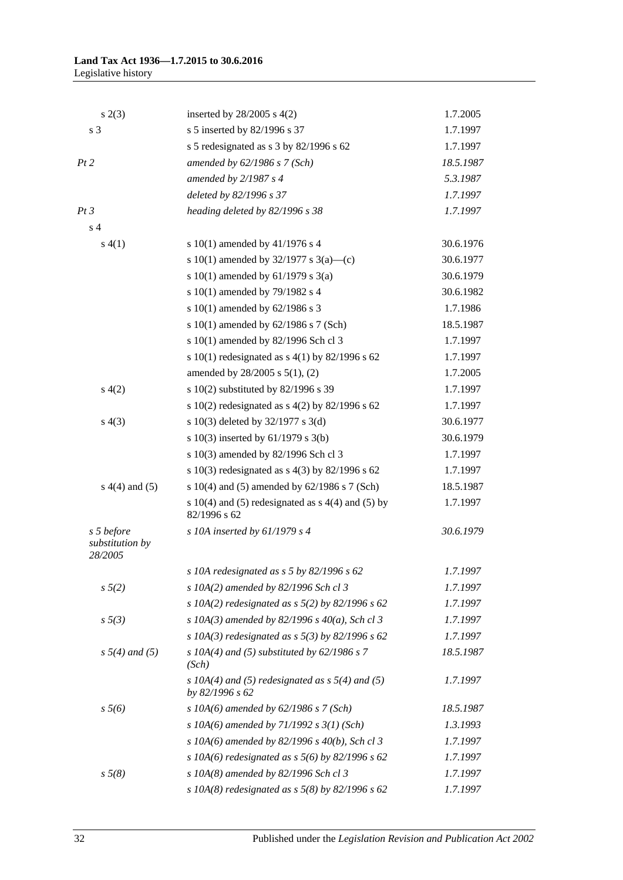| s(2(3)                                   | inserted by $28/2005$ s $4(2)$                                         | 1.7.2005  |
|------------------------------------------|------------------------------------------------------------------------|-----------|
| s <sub>3</sub>                           | s 5 inserted by 82/1996 s 37                                           | 1.7.1997  |
|                                          | s 5 redesignated as s 3 by 82/1996 s 62                                | 1.7.1997  |
| Pt 2                                     | amended by $62/1986$ s $7$ (Sch)                                       | 18.5.1987 |
|                                          | amended by $2/1987 s 4$                                                | 5.3.1987  |
|                                          | deleted by 82/1996 s 37                                                | 1.7.1997  |
| Pt3                                      | heading deleted by 82/1996 s 38                                        | 1.7.1997  |
| s <sub>4</sub>                           |                                                                        |           |
| s(4(1))                                  | s 10(1) amended by 41/1976 s 4                                         | 30.6.1976 |
|                                          | s 10(1) amended by 32/1977 s 3(a)—(c)                                  | 30.6.1977 |
|                                          | s 10(1) amended by 61/1979 s 3(a)                                      | 30.6.1979 |
|                                          | s 10(1) amended by 79/1982 s 4                                         | 30.6.1982 |
|                                          | s 10(1) amended by 62/1986 s 3                                         | 1.7.1986  |
|                                          | s $10(1)$ amended by $62/1986$ s 7 (Sch)                               | 18.5.1987 |
|                                          | s 10(1) amended by 82/1996 Sch cl 3                                    | 1.7.1997  |
|                                          | s 10(1) redesignated as $s$ 4(1) by 82/1996 s 62                       | 1.7.1997  |
|                                          | amended by 28/2005 s 5(1), (2)                                         | 1.7.2005  |
| s(4(2)                                   | s 10(2) substituted by 82/1996 s 39                                    | 1.7.1997  |
|                                          | s 10(2) redesignated as s 4(2) by 82/1996 s 62                         | 1.7.1997  |
| s(4(3))                                  | s 10(3) deleted by 32/1977 s 3(d)                                      | 30.6.1977 |
|                                          | s $10(3)$ inserted by $61/1979$ s $3(b)$                               | 30.6.1979 |
|                                          | s 10(3) amended by 82/1996 Sch cl 3                                    | 1.7.1997  |
|                                          | s 10(3) redesignated as s 4(3) by 82/1996 s 62                         | 1.7.1997  |
| $s(4(4)$ and $(5)$                       | s $10(4)$ and (5) amended by $62/1986$ s 7 (Sch)                       | 18.5.1987 |
|                                          | s $10(4)$ and (5) redesignated as s $4(4)$ and (5) by<br>82/1996 s 62  | 1.7.1997  |
| s 5 before<br>substitution by<br>28/2005 | s 10A inserted by $61/1979$ s 4                                        | 30.6.1979 |
|                                          | s 10A redesignated as s 5 by 82/1996 s 62                              | 1.7.1997  |
| $s\,5(2)$                                | s 10A(2) amended by 82/1996 Sch cl 3                                   | 1.7.1997  |
|                                          | s 10A(2) redesignated as $s$ 5(2) by 82/1996 s 62                      | 1.7.1997  |
| $s\sqrt{3}$                              | s 10A(3) amended by 82/1996 s 40(a), Sch cl 3                          | 1.7.1997  |
|                                          | s 10A(3) redesignated as $s$ 5(3) by 82/1996 s 62                      | 1.7.1997  |
| $s 5(4)$ and (5)                         | s $10A(4)$ and (5) substituted by 62/1986 s 7<br>(Sch)                 | 18.5.1987 |
|                                          | $s$ 10A(4) and (5) redesignated as $s$ 5(4) and (5)<br>by 82/1996 s 62 | 1.7.1997  |
| $s \, 5(6)$                              | s 10A(6) amended by $62/1986$ s 7 (Sch)                                | 18.5.1987 |
|                                          | s 10A(6) amended by $71/1992$ s $3(1)$ (Sch)                           | 1.3.1993  |
|                                          | s 10A(6) amended by 82/1996 s 40(b), Sch cl 3                          | 1.7.1997  |
|                                          | s 10A(6) redesignated as $s$ 5(6) by 82/1996 s 62                      | 1.7.1997  |
| $s\,5(8)$                                | s 10A(8) amended by 82/1996 Sch cl 3                                   | 1.7.1997  |
|                                          | s 10A(8) redesignated as $s$ 5(8) by 82/1996 s 62                      | 1.7.1997  |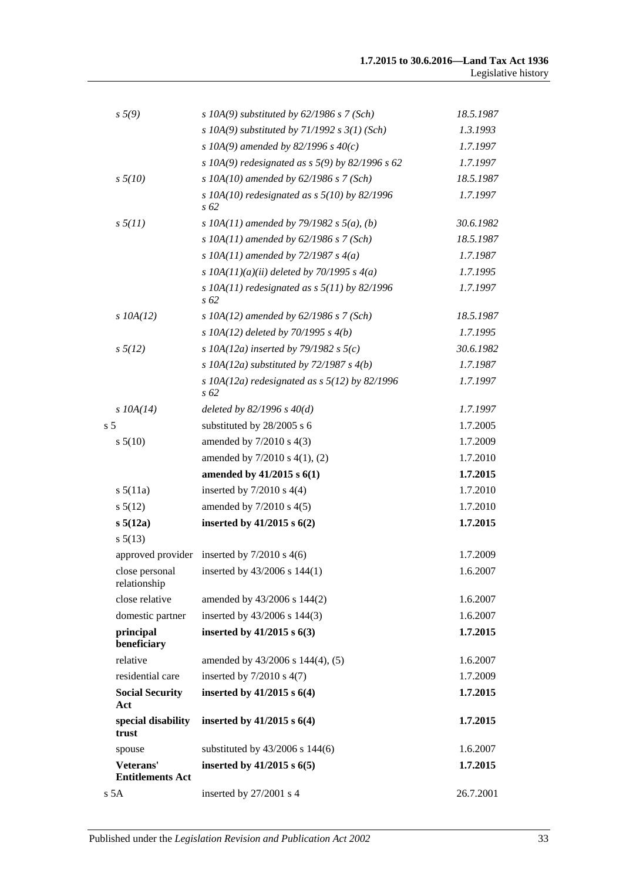| $s\,5(9)$                            | s 10A(9) substituted by $62/1986$ s 7 (Sch)                | 18.5.1987 |
|--------------------------------------|------------------------------------------------------------|-----------|
|                                      | s 10A(9) substituted by 71/1992 s $3(1)$ (Sch)             | 1.3.1993  |
|                                      | s 10A(9) amended by 82/1996 s $40(c)$                      | 1.7.1997  |
|                                      | s 10A(9) redesignated as s 5(9) by 82/1996 s 62            | 1.7.1997  |
| $s \frac{5}{10}$                     | s $10A(10)$ amended by $62/1986$ s $7 (Sch)$               | 18.5.1987 |
|                                      | s 10A(10) redesignated as $s$ 5(10) by 82/1996<br>$s\,62$  | 1.7.1997  |
| $s \frac{5}{11}$                     | s 10A(11) amended by 79/1982 s $5(a)$ , (b)                | 30.6.1982 |
|                                      | s 10A(11) amended by $62/1986$ s 7 (Sch)                   | 18.5.1987 |
|                                      | s 10A(11) amended by 72/1987 s $4(a)$                      | 1.7.1987  |
|                                      | s $10A(11)(a)(ii)$ deleted by 70/1995 s 4(a)               | 1.7.1995  |
|                                      | s $10A(11)$ redesignated as s $5(11)$ by 82/1996<br>s 62   | 1.7.1997  |
| $s$ 10A(12)                          | s 10A(12) amended by $62/1986$ s 7 (Sch)                   | 18.5.1987 |
|                                      | s 10A(12) deleted by 70/1995 s $4(b)$                      | 1.7.1995  |
| $s\,5(12)$                           | s 10A(12a) inserted by 79/1982 s $5(c)$                    | 30.6.1982 |
|                                      | s 10A(12a) substituted by 72/1987 s $4(b)$                 | 1.7.1987  |
|                                      | s 10A(12a) redesignated as $s$ 5(12) by 82/1996<br>$s\,62$ | 1.7.1997  |
| $s$ 10A(14)                          | deleted by $82/1996 s 40(d)$                               | 1.7.1997  |
| s <sub>5</sub>                       | substituted by 28/2005 s 6                                 | 1.7.2005  |
| $s\,5(10)$                           | amended by $7/2010$ s $4(3)$                               | 1.7.2009  |
|                                      | amended by 7/2010 s 4(1), (2)                              | 1.7.2010  |
|                                      | amended by 41/2015 s 6(1)                                  | 1.7.2015  |
| s 5(11a)                             | inserted by $7/2010$ s $4(4)$                              | 1.7.2010  |
| $s\,5(12)$                           | amended by $7/2010$ s $4(5)$                               | 1.7.2010  |
| s 5(12a)                             | inserted by $41/2015$ s $6(2)$                             | 1.7.2015  |
| $s\,5(13)$                           |                                                            |           |
|                                      | approved provider inserted by $7/2010$ s $4(6)$            | 1.7.2009  |
| close personal<br>relationship       | inserted by 43/2006 s 144(1)                               | 1.6.2007  |
| close relative                       | amended by 43/2006 s 144(2)                                | 1.6.2007  |
| domestic partner                     | inserted by 43/2006 s 144(3)                               | 1.6.2007  |
| principal<br>beneficiary             | inserted by $41/2015$ s $6(3)$                             | 1.7.2015  |
| relative                             | amended by 43/2006 s 144(4), (5)                           | 1.6.2007  |
| residential care                     | inserted by $7/2010$ s $4(7)$                              | 1.7.2009  |
| <b>Social Security</b><br>Act        | inserted by $41/2015$ s $6(4)$                             | 1.7.2015  |
| special disability<br>trust          | inserted by $41/2015$ s $6(4)$                             | 1.7.2015  |
| spouse                               | substituted by 43/2006 s 144(6)                            | 1.6.2007  |
| Veterans'<br><b>Entitlements Act</b> | inserted by $41/2015$ s $6(5)$                             | 1.7.2015  |
| s 5A                                 | inserted by 27/2001 s 4                                    | 26.7.2001 |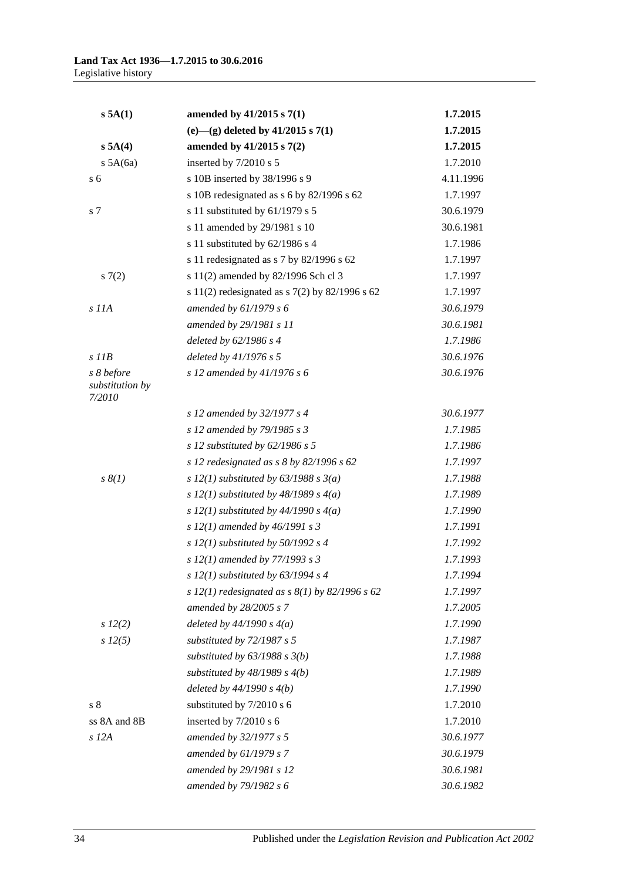| s 5A(1)                                 | amended by 41/2015 s 7(1)                      | 1.7.2015  |
|-----------------------------------------|------------------------------------------------|-----------|
|                                         | (e)—(g) deleted by $41/2015$ s $7(1)$          | 1.7.2015  |
| s 5A(4)                                 | amended by 41/2015 s 7(2)                      | 1.7.2015  |
| s $5A(6a)$                              | inserted by 7/2010 s 5                         | 1.7.2010  |
| s <sub>6</sub>                          | s 10B inserted by 38/1996 s 9                  | 4.11.1996 |
|                                         | s 10B redesignated as s 6 by 82/1996 s 62      | 1.7.1997  |
| s 7                                     | s 11 substituted by 61/1979 s 5                | 30.6.1979 |
|                                         | s 11 amended by 29/1981 s 10                   | 30.6.1981 |
|                                         | s 11 substituted by 62/1986 s 4                | 1.7.1986  |
|                                         | s 11 redesignated as s 7 by 82/1996 s 62       | 1.7.1997  |
| s(7(2)                                  | s 11(2) amended by 82/1996 Sch cl 3            | 1.7.1997  |
|                                         | s 11(2) redesignated as s 7(2) by 82/1996 s 62 | 1.7.1997  |
| $s$ $IIA$                               | amended by $61/1979 s 6$                       | 30.6.1979 |
|                                         | amended by 29/1981 s 11                        | 30.6.1981 |
|                                         | deleted by $62/1986 s 4$                       | 1.7.1986  |
| $s$ $11B$                               | deleted by 41/1976 s 5                         | 30.6.1976 |
| s 8 before<br>substitution by<br>7/2010 | s 12 amended by $41/1976 s 6$                  | 30.6.1976 |
|                                         | s 12 amended by 32/1977 s 4                    | 30.6.1977 |
|                                         | s 12 amended by 79/1985 s 3                    | 1.7.1985  |
|                                         | s 12 substituted by 62/1986 s 5                | 1.7.1986  |
|                                         | s 12 redesignated as $s$ 8 by 82/1996 $s$ 62   | 1.7.1997  |
| $s \, \mathcal{S}(1)$                   | s 12(1) substituted by 63/1988 s $3(a)$        | 1.7.1988  |
|                                         | s 12(1) substituted by 48/1989 s $4(a)$        | 1.7.1989  |
|                                         | s 12(1) substituted by $44/1990$ s $4(a)$      | 1.7.1990  |
|                                         | s 12(1) amended by $46/1991$ s 3               | 1.7.1991  |
|                                         | s 12(1) substituted by 50/1992 s 4             | 1.7.1992  |
|                                         | s 12(1) amended by 77/1993 s 3                 | 1.7.1993  |
|                                         | s 12(1) substituted by $63/1994$ s 4           | 1.7.1994  |
|                                         | s 12(1) redesignated as s 8(1) by 82/1996 s 62 | 1.7.1997  |
|                                         | amended by 28/2005 s 7                         | 1.7.2005  |
| $s\ 12(2)$                              | deleted by $44/1990 s 4(a)$                    | 1.7.1990  |
| $s\,12(5)$                              | substituted by $72/1987 s 5$                   | 1.7.1987  |
|                                         | substituted by $63/1988$ s $3(b)$              | 1.7.1988  |
|                                         | substituted by $48/1989$ s $4(b)$              | 1.7.1989  |
|                                         | deleted by $44/1990 s 4(b)$                    | 1.7.1990  |
| s 8                                     | substituted by 7/2010 s 6                      | 1.7.2010  |
| ss 8A and 8B                            | inserted by 7/2010 s 6                         | 1.7.2010  |
| $s$ 12A                                 | amended by 32/1977 s 5                         | 30.6.1977 |
|                                         | amended by $61/1979 s 7$                       | 30.6.1979 |
|                                         | amended by 29/1981 s 12                        | 30.6.1981 |
|                                         | amended by 79/1982 s 6                         | 30.6.1982 |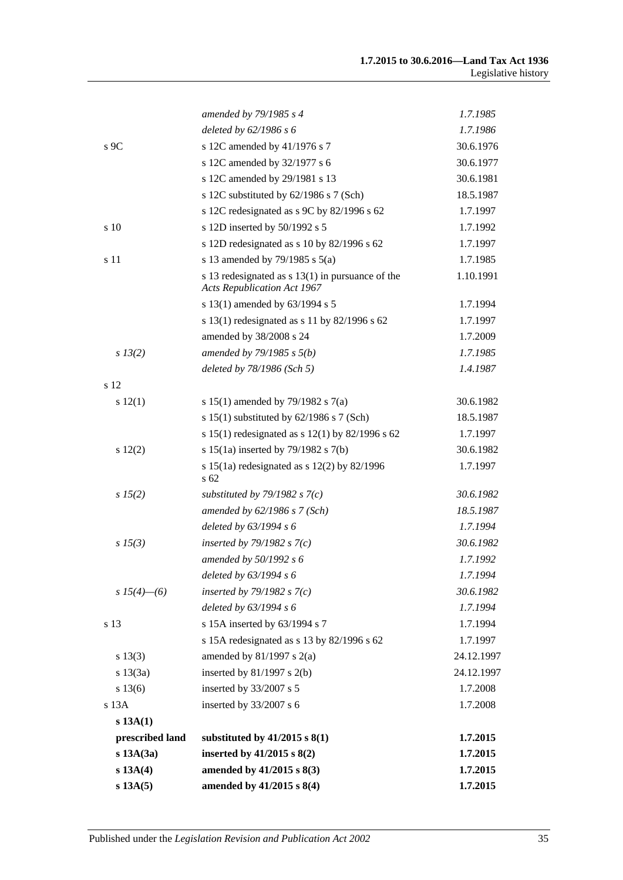| s 13A(5)        | amended by 41/2015 s 8(4)                           | 1.7.2015   |
|-----------------|-----------------------------------------------------|------------|
| $s\,13A(4)$     | amended by 41/2015 s 8(3)                           | 1.7.2015   |
| $s$ 13A $(3a)$  | inserted by $41/2015$ s $8(2)$                      | 1.7.2015   |
| prescribed land | substituted by $41/2015$ s $8(1)$                   | 1.7.2015   |
| s 13A(1)        |                                                     |            |
| $s$ 13 $A$      | inserted by 33/2007 s 6                             | 1.7.2008   |
| s 13(6)         | inserted by 33/2007 s 5                             | 1.7.2008   |
| s 13(3a)        | inserted by $81/1997$ s $2(b)$                      | 24.12.1997 |
| s 13(3)         | amended by $81/1997$ s $2(a)$                       | 24.12.1997 |
|                 | s 15A redesignated as s 13 by 82/1996 s 62          | 1.7.1997   |
| s 13            | s 15A inserted by 63/1994 s 7                       | 1.7.1994   |
|                 | deleted by 63/1994 s 6                              | 1.7.1994   |
| s $15(4)$ - (6) | inserted by 79/1982 s $7(c)$                        | 30.6.1982  |
|                 | deleted by 63/1994 s 6                              | 1.7.1994   |
|                 | amended by 50/1992 s 6                              | 1.7.1992   |
| $s\,15(3)$      | inserted by $79/1982$ s $7(c)$                      | 30.6.1982  |
|                 | deleted by $63/1994 s 6$                            | 1.7.1994   |
|                 | amended by $62/1986$ s $7$ (Sch)                    | 18.5.1987  |
| s 15(2)         | substituted by 79/1982 s $7(c)$                     | 30.6.1982  |
|                 | s 15(1a) redesignated as s 12(2) by 82/1996<br>s 62 | 1.7.1997   |
| s 12(2)         | s 15(1a) inserted by 79/1982 s 7(b)                 | 30.6.1982  |
|                 | s 15(1) redesignated as s 12(1) by 82/1996 s 62     | 1.7.1997   |
|                 | s $15(1)$ substituted by $62/1986$ s 7 (Sch)        | 18.5.1987  |
| s 12(1)         | s 15(1) amended by 79/1982 s 7(a)                   | 30.6.1982  |
| s 12            |                                                     |            |
|                 | deleted by 78/1986 (Sch 5)                          | 1.4.1987   |
| $s\,13(2)$      | amended by $79/1985 s 5(b)$                         | 1.7.1985   |
|                 | amended by 38/2008 s 24                             | 1.7.2009   |
|                 | s 13(1) redesignated as s 11 by $82/1996$ s 62      | 1.7.1997   |
|                 | s 13(1) amended by 63/1994 s 5                      | 1.7.1994   |
|                 | <b>Acts Republication Act 1967</b>                  |            |
|                 | s 13 redesignated as $s$ 13(1) in pursuance of the  | 1.10.1991  |
| s 11            | s 13 amended by $79/1985$ s $5(a)$                  | 1.7.1985   |
|                 | s 12D redesignated as s 10 by 82/1996 s 62          | 1.7.1997   |
| s 10            | s 12D inserted by 50/1992 s 5                       | 1.7.1992   |
|                 | s 12C redesignated as s 9C by 82/1996 s 62          | 1.7.1997   |
|                 | s 12C substituted by 62/1986 s 7 (Sch)              | 18.5.1987  |
|                 | s 12C amended by 29/1981 s 13                       | 30.6.1981  |
|                 | s 12C amended by 32/1977 s 6                        | 30.6.1977  |
| $s$ 9C          | s 12C amended by 41/1976 s 7                        | 30.6.1976  |
|                 | deleted by 62/1986 s 6                              | 1.7.1986   |
|                 | amended by 79/1985 s 4                              | 1.7.1985   |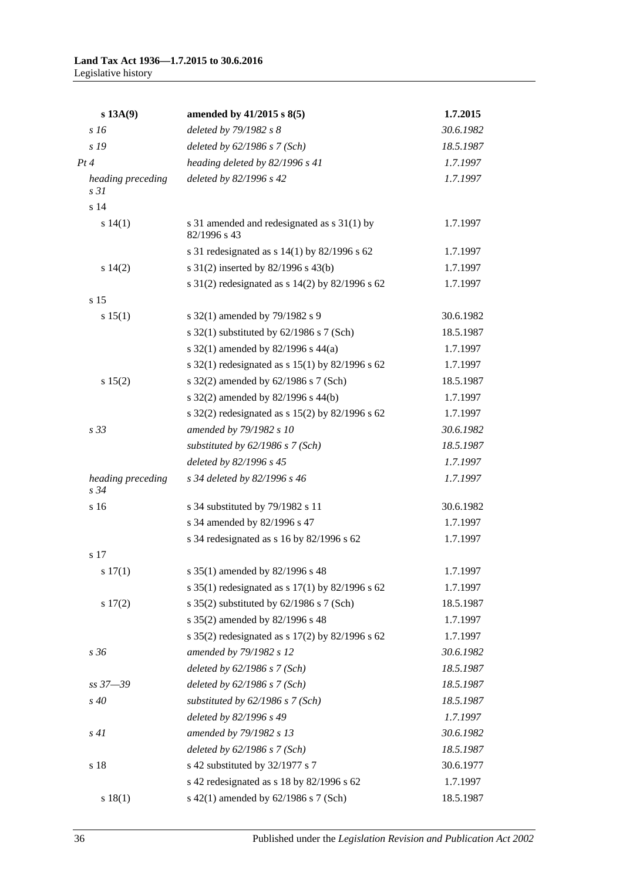| $s$ 13A $(9)$                        | amended by 41/2015 s 8(5)                                   | 1.7.2015  |
|--------------------------------------|-------------------------------------------------------------|-----------|
| s16                                  | deleted by 79/1982 s 8                                      | 30.6.1982 |
| s <sub>19</sub>                      | deleted by $62/1986$ s $7 (Sch)$                            | 18.5.1987 |
| Pt 4                                 | heading deleted by 82/1996 s 41                             | 1.7.1997  |
| heading preceding<br>s <sub>31</sub> | deleted by 82/1996 s 42                                     | 1.7.1997  |
| s 14                                 |                                                             |           |
| s 14(1)                              | s 31 amended and redesignated as s 31(1) by<br>82/1996 s 43 | 1.7.1997  |
|                                      | s 31 redesignated as s $14(1)$ by 82/1996 s 62              | 1.7.1997  |
| s 14(2)                              | s 31(2) inserted by 82/1996 s 43(b)                         | 1.7.1997  |
|                                      | s 31(2) redesignated as s 14(2) by 82/1996 s 62             | 1.7.1997  |
| s <sub>15</sub>                      |                                                             |           |
| s 15(1)                              | s 32(1) amended by 79/1982 s 9                              | 30.6.1982 |
|                                      | s $32(1)$ substituted by $62/1986$ s 7 (Sch)                | 18.5.1987 |
|                                      | s $32(1)$ amended by $82/1996$ s $44(a)$                    | 1.7.1997  |
|                                      | s $32(1)$ redesignated as s $15(1)$ by $82/1996$ s 62       | 1.7.1997  |
| s 15(2)                              | s 32(2) amended by 62/1986 s 7 (Sch)                        | 18.5.1987 |
|                                      | s 32(2) amended by 82/1996 s 44(b)                          | 1.7.1997  |
|                                      | s 32(2) redesignated as s 15(2) by 82/1996 s 62             | 1.7.1997  |
| s 33                                 | amended by 79/1982 s 10                                     | 30.6.1982 |
|                                      | substituted by $62/1986$ s $7$ (Sch)                        | 18.5.1987 |
|                                      | deleted by 82/1996 s 45                                     | 1.7.1997  |
| heading preceding<br>$s\,34$         | s 34 deleted by 82/1996 s 46                                | 1.7.1997  |
| s 16                                 | s 34 substituted by 79/1982 s 11                            | 30.6.1982 |
|                                      | s 34 amended by 82/1996 s 47                                | 1.7.1997  |
|                                      | s 34 redesignated as s 16 by 82/1996 s 62                   | 1.7.1997  |
| s 17                                 |                                                             |           |
| s 17(1)                              | s 35(1) amended by 82/1996 s 48                             | 1.7.1997  |
|                                      | s 35(1) redesignated as s $17(1)$ by 82/1996 s 62           | 1.7.1997  |
| s 17(2)                              | s $35(2)$ substituted by $62/1986$ s 7 (Sch)                | 18.5.1987 |
|                                      | s 35(2) amended by 82/1996 s 48                             | 1.7.1997  |
|                                      | s 35(2) redesignated as s 17(2) by 82/1996 s 62             | 1.7.1997  |
| s36                                  | amended by 79/1982 s 12                                     | 30.6.1982 |
|                                      | deleted by $62/1986$ s $7$ (Sch)                            | 18.5.1987 |
| ss 37–39                             | deleted by $62/1986$ s $7(Sch)$                             | 18.5.1987 |
| s 40                                 | substituted by $62/1986$ s $7$ (Sch)                        | 18.5.1987 |
|                                      | deleted by 82/1996 s 49                                     | 1.7.1997  |
| s41                                  | amended by 79/1982 s 13                                     | 30.6.1982 |
|                                      | deleted by 62/1986 s 7 (Sch)                                | 18.5.1987 |
| s 18                                 | s 42 substituted by 32/1977 s 7                             | 30.6.1977 |
|                                      | s 42 redesignated as s 18 by 82/1996 s 62                   | 1.7.1997  |
| s 18(1)                              | s 42(1) amended by 62/1986 s 7 (Sch)                        | 18.5.1987 |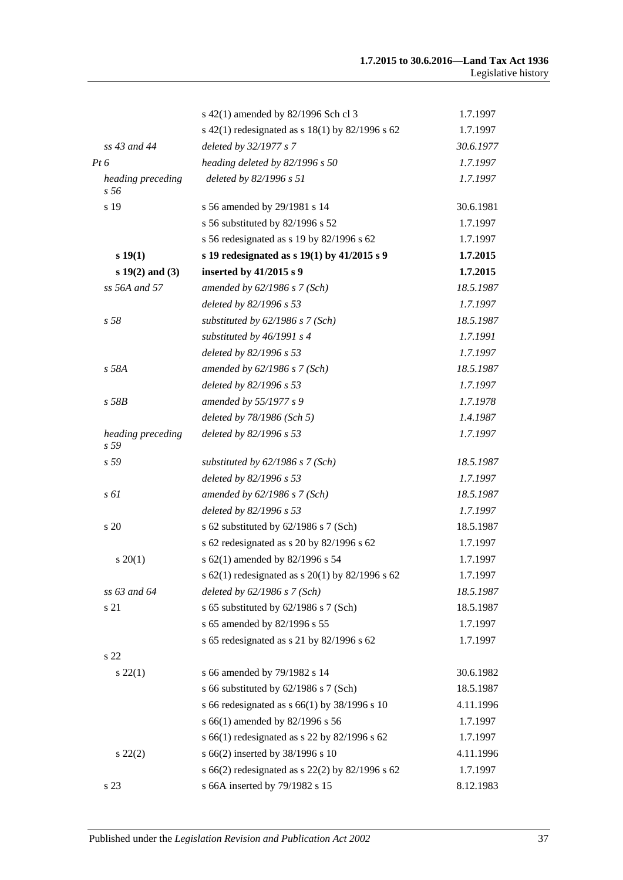|                                      | s 42(1) amended by 82/1996 Sch cl 3             | 1.7.1997  |
|--------------------------------------|-------------------------------------------------|-----------|
|                                      | s 42(1) redesignated as s 18(1) by 82/1996 s 62 | 1.7.1997  |
| ss 43 and 44                         | deleted by 32/1977 s 7                          | 30.6.1977 |
| Pt 6                                 | heading deleted by 82/1996 s 50                 | 1.7.1997  |
| heading preceding<br>s <sub>56</sub> | deleted by 82/1996 s 51                         | 1.7.1997  |
| s 19                                 | s 56 amended by 29/1981 s 14                    | 30.6.1981 |
|                                      | s 56 substituted by 82/1996 s 52                | 1.7.1997  |
|                                      | s 56 redesignated as s 19 by 82/1996 s 62       | 1.7.1997  |
| s 19(1)                              | s 19 redesignated as s 19(1) by 41/2015 s 9     | 1.7.2015  |
| $s 19(2)$ and $(3)$                  | inserted by 41/2015 s 9                         | 1.7.2015  |
| ss 56A and 57                        | amended by $62/1986$ s $7$ (Sch)                | 18.5.1987 |
|                                      | deleted by 82/1996 s 53                         | 1.7.1997  |
| s <sub>58</sub>                      | substituted by $62/1986$ s $7$ (Sch)            | 18.5.1987 |
|                                      | substituted by 46/1991 s 4                      | 1.7.1991  |
|                                      | deleted by 82/1996 s 53                         | 1.7.1997  |
| s 58A                                | amended by $62/1986 s 7 (Sch)$                  | 18.5.1987 |
|                                      | deleted by 82/1996 s 53                         | 1.7.1997  |
| $s$ 58 $B$                           | amended by 55/1977 s 9                          | 1.7.1978  |
|                                      | deleted by 78/1986 (Sch 5)                      | 1.4.1987  |
| heading preceding<br>s 59            | deleted by 82/1996 s 53                         | 1.7.1997  |
| s 59                                 | substituted by $62/1986$ s $7$ (Sch)            | 18.5.1987 |
|                                      | deleted by 82/1996 s 53                         | 1.7.1997  |
| s 61                                 | amended by $62/1986 s 7 (Sch)$                  | 18.5.1987 |
|                                      | deleted by 82/1996 s 53                         | 1.7.1997  |
| s 20                                 | s 62 substituted by 62/1986 s 7 (Sch)           | 18.5.1987 |
|                                      | s 62 redesignated as s 20 by 82/1996 s 62       | 1.7.1997  |
| $s \, 20(1)$                         | s 62(1) amended by 82/1996 s 54                 | 1.7.1997  |
|                                      | s 62(1) redesignated as s 20(1) by 82/1996 s 62 | 1.7.1997  |
| ss 63 and 64                         | deleted by $62/1986$ s $7$ (Sch)                | 18.5.1987 |
| s 21                                 | s 65 substituted by 62/1986 s 7 (Sch)           | 18.5.1987 |
|                                      | s 65 amended by 82/1996 s 55                    | 1.7.1997  |
|                                      | s 65 redesignated as s 21 by 82/1996 s 62       | 1.7.1997  |
| s 22                                 |                                                 |           |
| $s\,22(1)$                           | s 66 amended by 79/1982 s 14                    | 30.6.1982 |
|                                      | s 66 substituted by 62/1986 s 7 (Sch)           | 18.5.1987 |
|                                      | s 66 redesignated as s 66(1) by $38/1996$ s 10  | 4.11.1996 |
|                                      | s 66(1) amended by 82/1996 s 56                 | 1.7.1997  |
|                                      | s 66(1) redesignated as s 22 by 82/1996 s 62    | 1.7.1997  |
| $s\ 22(2)$                           | s 66(2) inserted by 38/1996 s 10                | 4.11.1996 |
|                                      | s 66(2) redesignated as s 22(2) by 82/1996 s 62 | 1.7.1997  |
| s 23                                 | s 66A inserted by 79/1982 s 15                  | 8.12.1983 |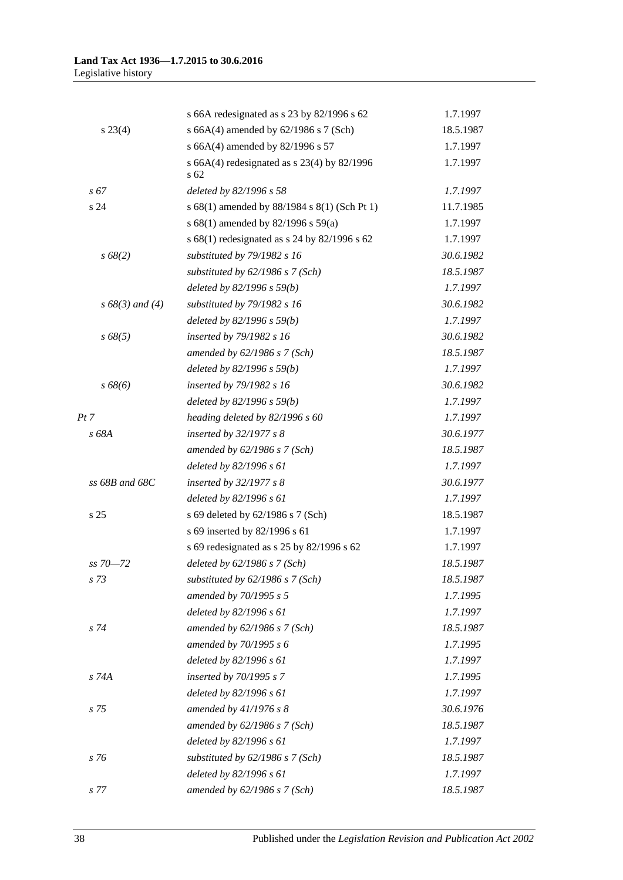|                    | s 66A redesignated as s 23 by 82/1996 s 62                   | 1.7.1997  |
|--------------------|--------------------------------------------------------------|-----------|
| $s\,23(4)$         | s 66A(4) amended by 62/1986 s 7 (Sch)                        | 18.5.1987 |
|                    | s 66A(4) amended by 82/1996 s 57                             | 1.7.1997  |
|                    | s 66A $(4)$ redesignated as s 23 $(4)$ by 82/1996<br>$s\,62$ | 1.7.1997  |
| $s\,67$            | deleted by 82/1996 s 58                                      | 1.7.1997  |
| s 24               | s 68(1) amended by 88/1984 s 8(1) (Sch Pt 1)                 | 11.7.1985 |
|                    | s 68(1) amended by 82/1996 s 59(a)                           | 1.7.1997  |
|                    | s 68(1) redesignated as s 24 by 82/1996 s 62                 | 1.7.1997  |
| $s\,68(2)$         | substituted by 79/1982 s 16                                  | 30.6.1982 |
|                    | substituted by 62/1986 s 7 (Sch)                             | 18.5.1987 |
|                    | deleted by $82/1996 s 59(b)$                                 | 1.7.1997  |
| $s\,68(3)$ and (4) | substituted by 79/1982 s 16                                  | 30.6.1982 |
|                    | deleted by $82/1996 s 59(b)$                                 | 1.7.1997  |
| $s\,68(5)$         | inserted by 79/1982 s 16                                     | 30.6.1982 |
|                    | amended by $62/1986$ s $7$ (Sch)                             | 18.5.1987 |
|                    | deleted by $82/1996 s 59(b)$                                 | 1.7.1997  |
| s 68(6)            | inserted by 79/1982 s 16                                     | 30.6.1982 |
|                    | deleted by $82/1996 s 59(b)$                                 | 1.7.1997  |
| Pt 7               | heading deleted by 82/1996 s 60                              | 1.7.1997  |
| s 68A              | inserted by $32/1977 s 8$                                    | 30.6.1977 |
|                    | amended by $62/1986$ s $7$ (Sch)                             | 18.5.1987 |
|                    | deleted by 82/1996 s 61                                      | 1.7.1997  |
| ss 68B and 68C     | inserted by $32/1977 s 8$                                    | 30.6.1977 |
|                    | deleted by 82/1996 s 61                                      | 1.7.1997  |
| s 25               | s 69 deleted by 62/1986 s 7 (Sch)                            | 18.5.1987 |
|                    | s 69 inserted by 82/1996 s 61                                | 1.7.1997  |
|                    | s 69 redesignated as s 25 by 82/1996 s 62                    | 1.7.1997  |
| $ss 70 - 72$       | deleted by $62/1986$ s $7 (Sch)$                             | 18.5.1987 |
| s 73               | substituted by $62/1986$ s $7$ (Sch)                         | 18.5.1987 |
|                    | amended by 70/1995 s 5                                       | 1.7.1995  |
|                    | deleted by 82/1996 s 61                                      | 1.7.1997  |
| $s\,74$            | amended by $62/1986$ s $7$ (Sch)                             | 18.5.1987 |
|                    | amended by 70/1995 s 6                                       | 1.7.1995  |
|                    | deleted by 82/1996 s 61                                      | 1.7.1997  |
| s 74A              | inserted by $70/1995 s 7$                                    | 1.7.1995  |
|                    | deleted by 82/1996 s 61                                      | 1.7.1997  |
| $s\,75$            | amended by $41/1976 s 8$                                     | 30.6.1976 |
|                    | amended by $62/1986$ s $7$ (Sch)                             | 18.5.1987 |
|                    | deleted by 82/1996 s 61                                      | 1.7.1997  |
| s 76               | substituted by $62/1986$ s $7$ (Sch)                         | 18.5.1987 |
|                    | deleted by 82/1996 s 61                                      | 1.7.1997  |
| s 77               | amended by $62/1986$ s $7$ (Sch)                             | 18.5.1987 |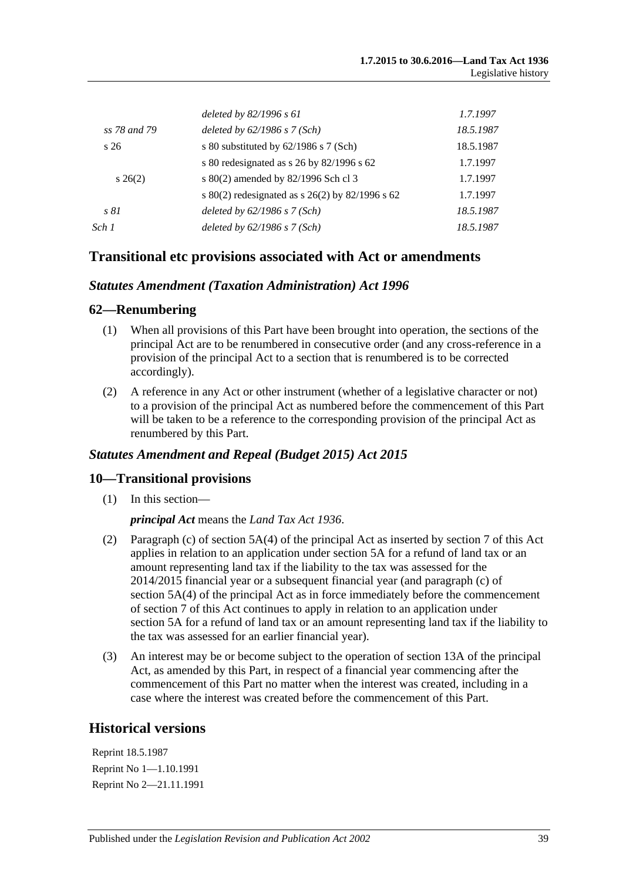|                | deleted by 82/1996 s 61                         | 1.7.1997  |
|----------------|-------------------------------------------------|-----------|
| ss 78 and 79   | deleted by $62/1986$ s $7(Sch)$                 | 18.5.1987 |
| $\frac{1}{26}$ | s 80 substituted by $62/1986$ s 7 (Sch)         | 18.5.1987 |
|                | s 80 redesignated as s 26 by 82/1996 s 62       | 1.7.1997  |
| $s\,26(2)$     | s 80(2) amended by 82/1996 Sch cl 3             | 1.7.1997  |
|                | s 80(2) redesignated as s 26(2) by 82/1996 s 62 | 1.7.1997  |
| s81            | deleted by $62/1986$ s $7(Sch)$                 | 18.5.1987 |
| Sch 1          | deleted by $62/1986$ s $7$ (Sch)                | 18.5.1987 |
|                |                                                 |           |

## **Transitional etc provisions associated with Act or amendments**

#### *Statutes Amendment (Taxation Administration) Act 1996*

#### **62—Renumbering**

- (1) When all provisions of this Part have been brought into operation, the sections of the principal Act are to be renumbered in consecutive order (and any cross-reference in a provision of the principal Act to a section that is renumbered is to be corrected accordingly).
- (2) A reference in any Act or other instrument (whether of a legislative character or not) to a provision of the principal Act as numbered before the commencement of this Part will be taken to be a reference to the corresponding provision of the principal Act as renumbered by this Part.

#### *Statutes Amendment and Repeal (Budget 2015) Act 2015*

#### **10—Transitional provisions**

(1) In this section—

*principal Act* means the *[Land Tax Act](http://www.legislation.sa.gov.au/index.aspx?action=legref&type=act&legtitle=Land%20Tax%20Act%201936) 1936*.

- (2) Paragraph (c) of section 5A(4) of the principal Act as inserted by section 7 of this Act applies in relation to an application under section 5A for a refund of land tax or an amount representing land tax if the liability to the tax was assessed for the 2014/2015 financial year or a subsequent financial year (and paragraph (c) of section 5A(4) of the principal Act as in force immediately before the commencement of section 7 of this Act continues to apply in relation to an application under section 5A for a refund of land tax or an amount representing land tax if the liability to the tax was assessed for an earlier financial year).
- (3) An interest may be or become subject to the operation of section 13A of the principal Act, as amended by this Part, in respect of a financial year commencing after the commencement of this Part no matter when the interest was created, including in a case where the interest was created before the commencement of this Part.

## **Historical versions**

Reprint 18.5.1987 Reprint No 1—1.10.1991 Reprint No 2—21.11.1991